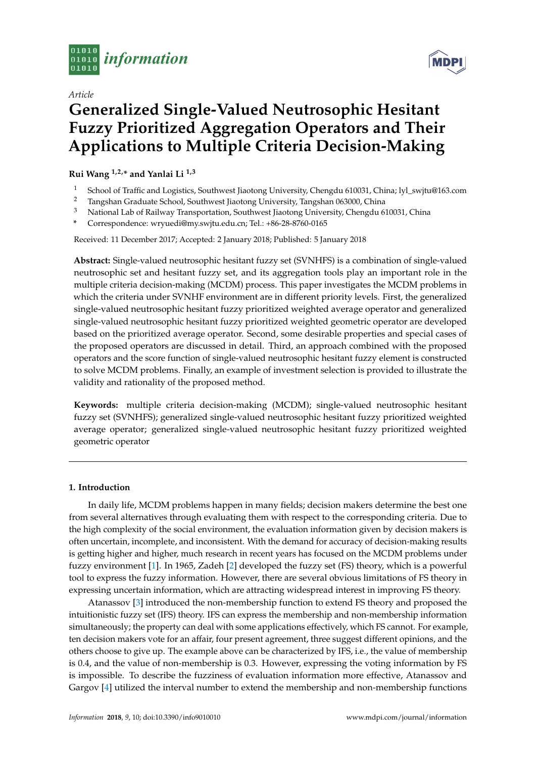

*Article*

# **MDPI**

# **Generalized Single-Valued Neutrosophic Hesitant Fuzzy Prioritized Aggregation Operators and Their Applications to Multiple Criteria Decision-Making**

# **Rui Wang 1,2,\* and Yanlai Li 1,3**

- <sup>1</sup> School of Traffic and Logistics, Southwest Jiaotong University, Chengdu 610031, China; lyl\_swjtu@163.com
- <sup>2</sup> Tangshan Graduate School, Southwest Jiaotong University, Tangshan 063000, China<br><sup>3</sup> National Lab of Railway Transportation, Southwest Jiaotong University, Chengdu 6
- <sup>3</sup> National Lab of Railway Transportation, Southwest Jiaotong University, Chengdu 610031, China
- **\*** Correspondence: wryuedi@my.swjtu.edu.cn; Tel.: +86-28-8760-0165

Received: 11 December 2017; Accepted: 2 January 2018; Published: 5 January 2018

**Abstract:** Single-valued neutrosophic hesitant fuzzy set (SVNHFS) is a combination of single-valued neutrosophic set and hesitant fuzzy set, and its aggregation tools play an important role in the multiple criteria decision-making (MCDM) process. This paper investigates the MCDM problems in which the criteria under SVNHF environment are in different priority levels. First, the generalized single-valued neutrosophic hesitant fuzzy prioritized weighted average operator and generalized single-valued neutrosophic hesitant fuzzy prioritized weighted geometric operator are developed based on the prioritized average operator. Second, some desirable properties and special cases of the proposed operators are discussed in detail. Third, an approach combined with the proposed operators and the score function of single-valued neutrosophic hesitant fuzzy element is constructed to solve MCDM problems. Finally, an example of investment selection is provided to illustrate the validity and rationality of the proposed method.

**Keywords:** multiple criteria decision-making (MCDM); single-valued neutrosophic hesitant fuzzy set (SVNHFS); generalized single-valued neutrosophic hesitant fuzzy prioritized weighted average operator; generalized single-valued neutrosophic hesitant fuzzy prioritized weighted geometric operator

# **1. Introduction**

In daily life, MCDM problems happen in many fields; decision makers determine the best one from several alternatives through evaluating them with respect to the corresponding criteria. Due to the high complexity of the social environment, the evaluation information given by decision makers is often uncertain, incomplete, and inconsistent. With the demand for accuracy of decision-making results is getting higher and higher, much research in recent years has focused on the MCDM problems under fuzzy environment [\[1\]](#page-17-0). In 1965, Zadeh [\[2\]](#page-17-1) developed the fuzzy set (FS) theory, which is a powerful tool to express the fuzzy information. However, there are several obvious limitations of FS theory in expressing uncertain information, which are attracting widespread interest in improving FS theory.

Atanassov [\[3\]](#page-17-2) introduced the non-membership function to extend FS theory and proposed the intuitionistic fuzzy set (IFS) theory. IFS can express the membership and non-membership information simultaneously; the property can deal with some applications effectively, which FS cannot. For example, ten decision makers vote for an affair, four present agreement, three suggest different opinions, and the others choose to give up. The example above can be characterized by IFS, i.e., the value of membership is 0.4, and the value of non-membership is 0.3. However, expressing the voting information by FS is impossible. To describe the fuzziness of evaluation information more effective, Atanassov and Gargov [\[4\]](#page-17-3) utilized the interval number to extend the membership and non-membership functions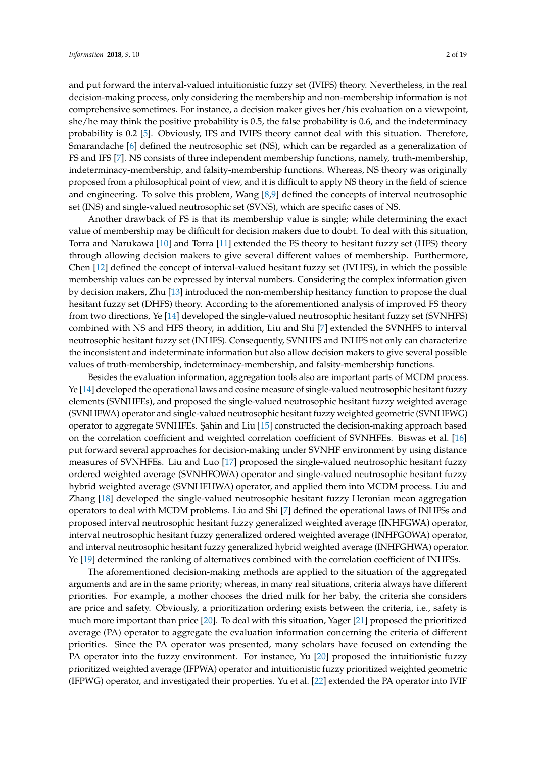and put forward the interval-valued intuitionistic fuzzy set (IVIFS) theory. Nevertheless, in the real decision-making process, only considering the membership and non-membership information is not comprehensive sometimes. For instance, a decision maker gives her/his evaluation on a viewpoint, she/he may think the positive probability is 0.5, the false probability is 0.6, and the indeterminacy probability is 0.2 [\[5\]](#page-17-4). Obviously, IFS and IVIFS theory cannot deal with this situation. Therefore, Smarandache [\[6\]](#page-17-5) defined the neutrosophic set (NS), which can be regarded as a generalization of FS and IFS [\[7\]](#page-18-0). NS consists of three independent membership functions, namely, truth-membership, indeterminacy-membership, and falsity-membership functions. Whereas, NS theory was originally proposed from a philosophical point of view, and it is difficult to apply NS theory in the field of science and engineering. To solve this problem, Wang [\[8,](#page-18-1)[9\]](#page-18-2) defined the concepts of interval neutrosophic set (INS) and single-valued neutrosophic set (SVNS), which are specific cases of NS.

Another drawback of FS is that its membership value is single; while determining the exact value of membership may be difficult for decision makers due to doubt. To deal with this situation, Torra and Narukawa [\[10\]](#page-18-3) and Torra [\[11\]](#page-18-4) extended the FS theory to hesitant fuzzy set (HFS) theory through allowing decision makers to give several different values of membership. Furthermore, Chen [\[12\]](#page-18-5) defined the concept of interval-valued hesitant fuzzy set (IVHFS), in which the possible membership values can be expressed by interval numbers. Considering the complex information given by decision makers, Zhu [\[13\]](#page-18-6) introduced the non-membership hesitancy function to propose the dual hesitant fuzzy set (DHFS) theory. According to the aforementioned analysis of improved FS theory from two directions, Ye [\[14\]](#page-18-7) developed the single-valued neutrosophic hesitant fuzzy set (SVNHFS) combined with NS and HFS theory, in addition, Liu and Shi [\[7\]](#page-18-0) extended the SVNHFS to interval neutrosophic hesitant fuzzy set (INHFS). Consequently, SVNHFS and INHFS not only can characterize the inconsistent and indeterminate information but also allow decision makers to give several possible values of truth-membership, indeterminacy-membership, and falsity-membership functions.

Besides the evaluation information, aggregation tools also are important parts of MCDM process. Ye [\[14\]](#page-18-7) developed the operational laws and cosine measure of single-valued neutrosophic hesitant fuzzy elements (SVNHFEs), and proposed the single-valued neutrosophic hesitant fuzzy weighted average (SVNHFWA) operator and single-valued neutrosophic hesitant fuzzy weighted geometric (SVNHFWG) operator to aggregate SVNHFEs. ¸Sahin and Liu [\[15\]](#page-18-8) constructed the decision-making approach based on the correlation coefficient and weighted correlation coefficient of SVNHFEs. Biswas et al. [\[16\]](#page-18-9) put forward several approaches for decision-making under SVNHF environment by using distance measures of SVNHFEs. Liu and Luo [\[17\]](#page-18-10) proposed the single-valued neutrosophic hesitant fuzzy ordered weighted average (SVNHFOWA) operator and single-valued neutrosophic hesitant fuzzy hybrid weighted average (SVNHFHWA) operator, and applied them into MCDM process. Liu and Zhang [\[18\]](#page-18-11) developed the single-valued neutrosophic hesitant fuzzy Heronian mean aggregation operators to deal with MCDM problems. Liu and Shi [\[7\]](#page-18-0) defined the operational laws of INHFSs and proposed interval neutrosophic hesitant fuzzy generalized weighted average (INHFGWA) operator, interval neutrosophic hesitant fuzzy generalized ordered weighted average (INHFGOWA) operator, and interval neutrosophic hesitant fuzzy generalized hybrid weighted average (INHFGHWA) operator. Ye [\[19\]](#page-18-12) determined the ranking of alternatives combined with the correlation coefficient of INHFSs.

The aforementioned decision-making methods are applied to the situation of the aggregated arguments and are in the same priority; whereas, in many real situations, criteria always have different priorities. For example, a mother chooses the dried milk for her baby, the criteria she considers are price and safety. Obviously, a prioritization ordering exists between the criteria, i.e., safety is much more important than price [\[20\]](#page-18-13). To deal with this situation, Yager [\[21\]](#page-18-14) proposed the prioritized average (PA) operator to aggregate the evaluation information concerning the criteria of different priorities. Since the PA operator was presented, many scholars have focused on extending the PA operator into the fuzzy environment. For instance, Yu [\[20\]](#page-18-13) proposed the intuitionistic fuzzy prioritized weighted average (IFPWA) operator and intuitionistic fuzzy prioritized weighted geometric (IFPWG) operator, and investigated their properties. Yu et al. [\[22\]](#page-18-15) extended the PA operator into IVIF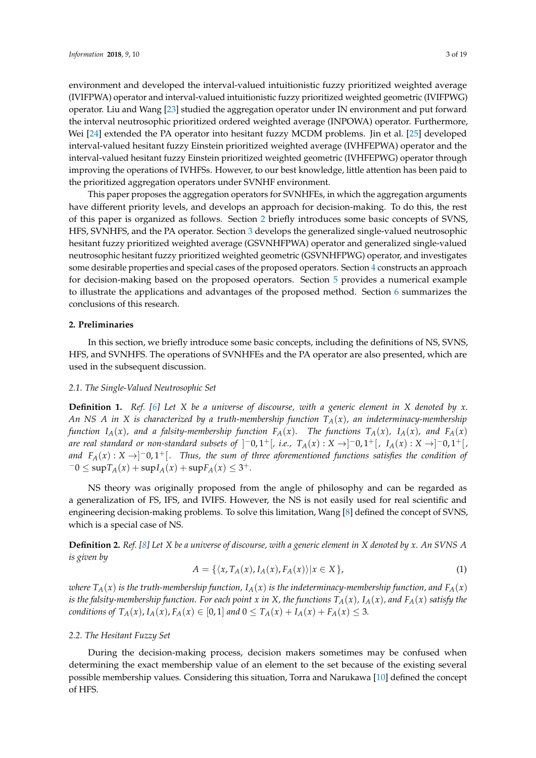environment and developed the interval-valued intuitionistic fuzzy prioritized weighted average (IVIFPWA) operator and interval-valued intuitionistic fuzzy prioritized weighted geometric (IVIFPWG) operator. Liu and Wang [\[23\]](#page-18-16) studied the aggregation operator under IN environment and put forward the interval neutrosophic prioritized ordered weighted average (INPOWA) operator. Furthermore, Wei [\[24\]](#page-18-17) extended the PA operator into hesitant fuzzy MCDM problems. Jin et al. [\[25\]](#page-18-18) developed interval-valued hesitant fuzzy Einstein prioritized weighted average (IVHFEPWA) operator and the interval-valued hesitant fuzzy Einstein prioritized weighted geometric (IVHFEPWG) operator through improving the operations of IVHFSs. However, to our best knowledge, little attention has been paid to the prioritized aggregation operators under SVNHF environment.

This paper proposes the aggregation operators for SVNHFEs, in which the aggregation arguments have different priority levels, and develops an approach for decision-making. To do this, the rest of this paper is organized as follows. Section [2](#page-2-0) briefly introduces some basic concepts of SVNS, HFS, SVNHFS, and the PA operator. Section [3](#page-4-0) develops the generalized single-valued neutrosophic hesitant fuzzy prioritized weighted average (GSVNHFPWA) operator and generalized single-valued neutrosophic hesitant fuzzy prioritized weighted geometric (GSVNHFPWG) operator, and investigates some desirable properties and special cases of the proposed operators. Section [4](#page-12-0) constructs an approach for decision-making based on the proposed operators. Section [5](#page-13-0) provides a numerical example to illustrate the applications and advantages of the proposed method. Section [6](#page-17-6) summarizes the conclusions of this research.

### <span id="page-2-0"></span>**2. Preliminaries**

In this section, we briefly introduce some basic concepts, including the definitions of NS, SVNS, HFS, and SVNHFS. The operations of SVNHFEs and the PA operator are also presented, which are used in the subsequent discussion.

#### *2.1. The Single-Valued Neutrosophic Set*

**Definition 1.** *Ref. [\[6\]](#page-17-5) Let X be a universe of discourse, with a generic element in X denoted by x. An NS A in X is characterized by a truth-membership function TA*(*x*)*, an indeterminacy-membership* function  $I_A(x)$ , and a falsity-membership function  $F_A(x)$ . The functions  $T_A(x)$ ,  $I_A(x)$ , and  $F_A(x)$ *are real standard or non-standard subsets of ]<sup>−</sup>0,1<sup>+</sup>[, i.e., T<sub>A</sub>(x) : X →]<sup>−</sup>0,1<sup>+</sup>[, I<sub>A</sub>(x) : X →]<sup>−</sup>0,1<sup>+</sup>[, and*  $F_A(x): X \to ]-0,1^+[$ . Thus, the sum of three aforementioned functions satisfies the condition of  $-0 \le \sup T_A(x) + \sup I_A(x) + \sup F_A(x) \le 3^+.$ 

NS theory was originally proposed from the angle of philosophy and can be regarded as a generalization of FS, IFS, and IVIFS. However, the NS is not easily used for real scientific and engineering decision-making problems. To solve this limitation, Wang [\[8\]](#page-18-1) defined the concept of SVNS, which is a special case of NS.

**Definition 2.** *Ref. [\[8\]](#page-18-1) Let X be a universe of discourse, with a generic element in X denoted by x. An SVNS A is given by*

$$
A = \{ \langle x, T_A(x), I_A(x), F_A(x) \rangle | x \in X \},\tag{1}
$$

*where*  $T_A(x)$  *is the truth-membership function,*  $I_A(x)$  *is the indeterminacy-membership function, and*  $F_A(x)$ *is the falsity-membership function. For each point x in X, the functions*  $T_A(x)$ *, I<sub>A</sub>*(*x*)*, and*  $F_A(x)$  *satisfy the conditions of*  $T_A(x)$ ,  $I_A(x)$ ,  $F_A(x) \in [0,1]$  *and*  $0 \le T_A(x) + I_A(x) + F_A(x) \le 3$ .

# *2.2. The Hesitant Fuzzy Set*

During the decision-making process, decision makers sometimes may be confused when determining the exact membership value of an element to the set because of the existing several possible membership values. Considering this situation, Torra and Narukawa [\[10\]](#page-18-3) defined the concept of HFS.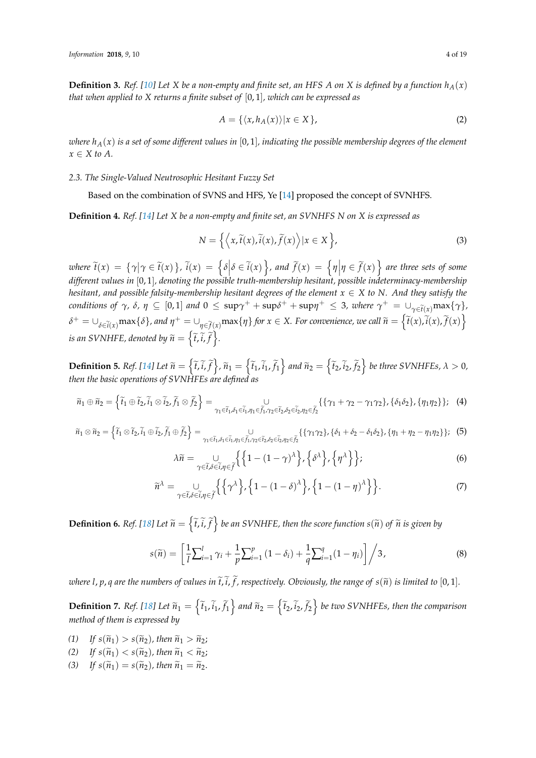**Definition 3.** Ref. [\[10\]](#page-18-3) Let *X* be a non-empty and finite set, an HFS *A* on *X* is defined by a function  $h_A(x)$ *that when applied to X returns a finite subset of* [0, 1]*, which can be expressed as*

$$
A = \{ \langle x, h_A(x) \rangle | x \in X \},\tag{2}
$$

*where hA*(*x*) *is a set of some different values in* [0, 1]*, indicating the possible membership degrees of the element*  $x \in X$  *to A*.

#### *2.3. The Single-Valued Neutrosophic Hesitant Fuzzy Set*

Based on the combination of SVNS and HFS, Ye [\[14\]](#page-18-7) proposed the concept of SVNHFS.

**Definition 4.** *Ref. [\[14\]](#page-18-7) Let X be a non-empty and finite set, an SVNHFS N on X is expressed as*

$$
N = \left\{ \left\langle x, \tilde{t}(x), \tilde{i}(x), \tilde{f}(x) \right\rangle | x \in X \right\},\tag{3}
$$

where  $\tilde{t}(x) = {\gamma | \gamma \in \tilde{t}(x)}$ ,  $\tilde{i}(x) = {\delta | \delta \in \tilde{i}(x)}$ , and  $\tilde{f}(x) = {\eta | \eta \in \tilde{f}(x)}$  are three sets of some *different values in* [0, 1]*, denoting the possible truth-membership hesitant, possible indeterminacy-membership hesitant, and possible falsity-membership hesitant degrees of the element*  $x \in X$  *to N. And they satisfy the*  $\alpha$  *conditions of*  $\gamma$ *,*  $\delta$ *,*  $\eta \subseteq [0,1]$  *and*  $0 \leq \sup \gamma^+ + \sup \delta^+ + \sup \eta^+ \leq 3$ *, where*  $\gamma^+ = \bigcup_{\gamma \in \widetilde{t}(x)} \max \{\gamma\}$  $\delta^+=\cup_{\delta\in \widetilde{i}(x)}\max\{\delta\}$ , and  $\eta^+=\cup_{\eta\in \widetilde{f}(x)}\max\{\eta\}$  for  $x\in X$ . For convenience, we call  $\widetilde{n}=\left\{\widetilde{t}(x),\widetilde{i}(x),\widetilde{f}(x)\right\}$ is an SVNHFE, denoted by  $\widetilde{n} = \left\{ \widetilde{t}, \widetilde{i}, \widetilde{f} \right\}$ .

**Definition 5.** Ref. [\[14\]](#page-18-7) Let  $\widetilde{n} = \left\{ \widetilde{t}_1, \widetilde{t}_1, \widetilde{f}_1 \right\}$ ,  $\widetilde{n}_1 = \left\{ \widetilde{t}_1, \widetilde{t}_1, \widetilde{f}_1 \right\}$  and  $\widetilde{n}_2 = \left\{ \widetilde{t}_2, \widetilde{t}_2, \widetilde{f}_2 \right\}$  be three SVNHFEs,  $\lambda > 0$ , *then the basic operations of SVNHFEs are defined as*

$$
\widetilde{n}_1 \oplus \widetilde{n}_2 = \left\{ \widetilde{t}_1 \oplus \widetilde{t}_2, \widetilde{i}_1 \otimes \widetilde{i}_2, \widetilde{f}_1 \otimes \widetilde{f}_2 \right\} = \bigcup_{\gamma_1 \in \widetilde{t}_1, \delta_1 \in \widetilde{t}_1, \eta_1 \in \widetilde{f}_1, \gamma_2 \in \widetilde{t}_2, \delta_2 \in \widetilde{i}_2, \eta_2 \in \widetilde{f}_2} \left\{ \{\gamma_1 + \gamma_2 - \gamma_1 \gamma_2\}, \{\delta_1 \delta_2\}, \{\eta_1 \eta_2\} \right\}; \tag{4}
$$

$$
\widetilde{n}_1 \otimes \widetilde{n}_2 = \left\{ \widetilde{t}_1 \otimes \widetilde{t}_2, \widetilde{i}_1 \oplus \widetilde{i}_2, \widetilde{f}_1 \oplus \widetilde{f}_2 \right\} = \bigcup_{\gamma_1 \in \widetilde{t}_1, \delta_1 \in \widetilde{t}_1, \eta_1 \in \widetilde{f}_1, \gamma_2 \in \widetilde{t}_2, \delta_2 \in \widetilde{i}_2, \eta_2 \in \widetilde{f}_2} \left\{ \{\gamma_1 \gamma_2\}, \{\delta_1 + \delta_2 - \delta_1 \delta_2\}, \{\eta_1 + \eta_2 - \eta_1 \eta_2\} \right\}; \tag{5}
$$

$$
\lambda \widetilde{n} = \bigcup_{\gamma \in \widetilde{t}, \delta \in \widetilde{t}, \eta \in \widetilde{f}} \left\{ \left\{ 1 - (1 - \gamma)^{\lambda} \right\}, \left\{ \delta^{\lambda} \right\}, \left\{ \eta^{\lambda} \right\} \right\};\tag{6}
$$

$$
\widetilde{n}^{\lambda} = \bigcup_{\gamma \in \widetilde{t}, \delta \in \widetilde{t}, \eta \in \widetilde{f}} \left\{ \left\{ \gamma^{\lambda} \right\}, \left\{ 1 - (1 - \delta)^{\lambda} \right\}, \left\{ 1 - (1 - \eta)^{\lambda} \right\} \right\}.
$$
\n(7)

**Definition 6.** Ref. [\[18\]](#page-18-11) Let  $\widetilde{n} = \left\{\widetilde{t}, \widetilde{i}, \widetilde{f}\right\}$  be an SVNHFE, then the score function  $s(\widetilde{n})$  of  $\widetilde{n}$  is given by

$$
s(\widetilde{n}) = \left[ \frac{1}{l} \sum_{i=1}^{l} \gamma_i + \frac{1}{p} \sum_{i=1}^{p} (1 - \delta_i) + \frac{1}{q} \sum_{i=1}^{q} (1 - \eta_i) \right] / 3, \tag{8}
$$

*where l, p, q are the numbers of values in*  $\tilde{t}$ ,  $\tilde{t}$ , *f*, *respectively. Obviously, the range of*  $s(\tilde{n})$  *is limited to* [0, 1].

**Definition 7.** Ref. [\[18\]](#page-18-11) Let  $\widetilde{n}_1 = \left\{ \widetilde{t}_1, \widetilde{i}_1, \widetilde{f}_1 \right\}$  and  $\widetilde{n}_2 = \left\{ \widetilde{t}_2, \widetilde{i}_2, \widetilde{f}_2 \right\}$  be two SVNHFEs, then the comparison *method of them is expressed by*

- (1) If  $s(\tilde{n}_1) > s(\tilde{n}_2)$ , then  $\tilde{n}_1 > \tilde{n}_2$ ;
- (2) If  $s(\tilde{n}_1) < s(\tilde{n}_2)$ , then  $\tilde{n}_1 < \tilde{n}_2$ ;
- (3) If  $s(\tilde{n}_1) = s(\tilde{n}_2)$ , then  $\tilde{n}_1 = \tilde{n}_2$ .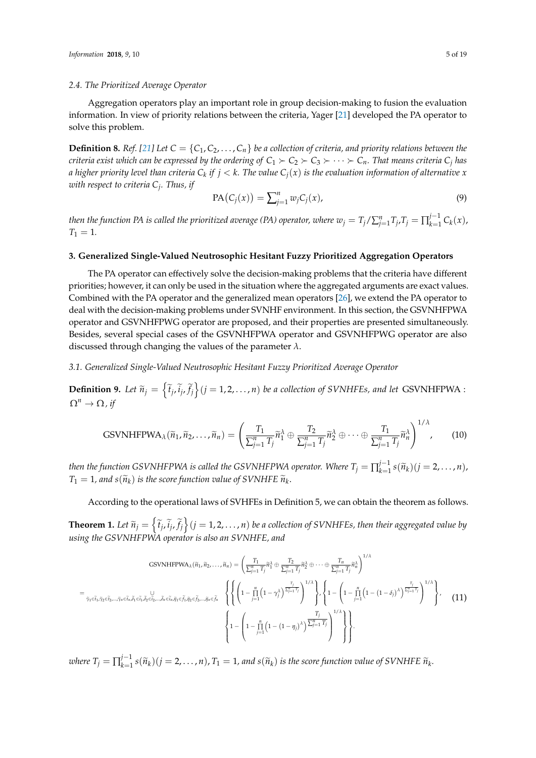### *2.4. The Prioritized Average Operator*

Aggregation operators play an important role in group decision-making to fusion the evaluation information. In view of priority relations between the criteria, Yager [\[21\]](#page-18-14) developed the PA operator to solve this problem.

**Definition 8.** *Ref.* [\[21\]](#page-18-14) Let  $C = \{C_1, C_2, \ldots, C_n\}$  be a collection of criteria, and priority relations between the *criteria exist which can be expressed by the ordering of*  $C_1 \succ C_2 \succ C_3 \succ \cdots \succ C_n$ *. That means criteria*  $C_j$  *has* a higher priority level than criteria  $C_k$  if  $j < k.$  The value  $C_j(x)$  is the evaluation information of alternative  $x$ *with respect to criteria C<sup>j</sup> . Thus, if*

$$
PA(C_j(x)) = \sum_{j=1}^n w_j C_j(x),
$$
\n(9)

*then the function PA is called the prioritized average (PA) operator, where*  $w_j = T_j/\sum_{j=1}^n T_j$ *,*  $T_j = \prod_{k=1}^{j-1}$  $C_{k=1}^{f^{-1}} C_k(x)$ ,  $T_1 = 1$ .

# <span id="page-4-0"></span>**3. Generalized Single-Valued Neutrosophic Hesitant Fuzzy Prioritized Aggregation Operators**

The PA operator can effectively solve the decision-making problems that the criteria have different priorities; however, it can only be used in the situation where the aggregated arguments are exact values. Combined with the PA operator and the generalized mean operators [\[26\]](#page-18-19), we extend the PA operator to deal with the decision-making problems under SVNHF environment. In this section, the GSVNHFPWA operator and GSVNHFPWG operator are proposed, and their properties are presented simultaneously. Besides, several special cases of the GSVNHFPWA operator and GSVNHFPWG operator are also discussed through changing the values of the parameter *λ*.

*3.1. Generalized Single-Valued Neutrosophic Hesitant Fuzzy Prioritized Average Operator*

**Definition 9.** Let  $\tilde{n}_j = \left\{ \tilde{t}_j, \tilde{i}_j, \tilde{f}_j \right\}$   $(j = 1, 2, ..., n)$  *be a collection of SVNHFEs, and let* GSVNHFPWA :  $\Omega^n \to \Omega$ *, if* 

GSVNIFPWA<sub>λ</sub>(
$$
\widetilde{n}_1, \widetilde{n}_2, ..., \widetilde{n}_n
$$
) =  $\left(\frac{T_1}{\sum_{j=1}^n T_j} \widetilde{n}_1^{\lambda} \oplus \frac{T_2}{\sum_{j=1}^n T_j} \widetilde{n}_2^{\lambda} \oplus \cdots \oplus \frac{T_1}{\sum_{j=1}^n T_j} \widetilde{n}_n^{\lambda}\right)^{1/\lambda}$ , (10)

*then the function GSVNHFPWA is called the GSVNHFPWA operator. Where*  $T_j = \prod_{k=1}^{j-1}$  $\prod_{k=1}^{j-1} s(\widetilde{n}_k)(j=2,\ldots,n),$  $T_1 = 1$ , and  $s(\widetilde{n}_k)$  *is the score function value of SVNHFE*  $\widetilde{n}_k$ .

According to the operational laws of SVHFEs in Definition 5, we can obtain the theorem as follows.

**Theorem 1.** Let  $\tilde{n}_j = \left\{ \tilde{t}_j, \tilde{i}_j, \tilde{f}_j \right\}$   $(j = 1, 2, ..., n)$  be a collection of SVNHFEs, then their aggregated value by *using the GSVNHFPWA operator is also an SVNHFE, and*

GSVNHFPWA<sub>λ</sub>(
$$
\tilde{n}_1, \tilde{n}_2, ..., \tilde{n}_n
$$
) =  $\left(\frac{T_1}{\sum_{j=1}^n T_j} \tilde{n}_1^{\lambda} \oplus \frac{T_2}{\sum_{j=1}^n T_j} \tilde{n}_2^{\lambda} \oplus \cdots \oplus \frac{T_n}{\sum_{j=1}^n T_j} \tilde{n}_n^{\lambda}\right)^{1/\lambda}$   
\n=  $\tilde{n}_1 \in \tilde{t}_1, \tilde{n}_2 \in \tilde{t}_2, ..., \tilde{n}_n \in \tilde{t}_n, \tilde{n}_1 \in \tilde{t}_1, \tilde{n}_2 \in \tilde{t}_2, ..., \tilde{n}_n \in \tilde{t}_n, \tilde{n}_1 \in \tilde{t}_1, \tilde{n}_2 \in \tilde{t}_2, ..., \tilde{n}_n \in \tilde{t}_n$   
\n $\left\{\left(1 - \prod_{j=1}^n (1 - \gamma_j) \right)^{\frac{T_j}{\sum_{j=1}^n T_j}}\right)^{1/\lambda}\right\}, \left\{1 - \left(1 - \prod_{j=1}^n (1 - (1 - \delta_j) \lambda) \frac{\overline{t}_j}{\sum_{j=1}^n T_j}\right)^{1/\lambda}\right\},$  (11)

*where*  $T_j = \prod_{k=1}^{j-1}$  $f_{k=1}^{f-1} s(\widetilde{n}_k)(j=2,\ldots,n)$ ,  $T_1=1$ , and  $s(\widetilde{n}_k)$  is the score function value of SVNHFE  $\widetilde{n}_k$ .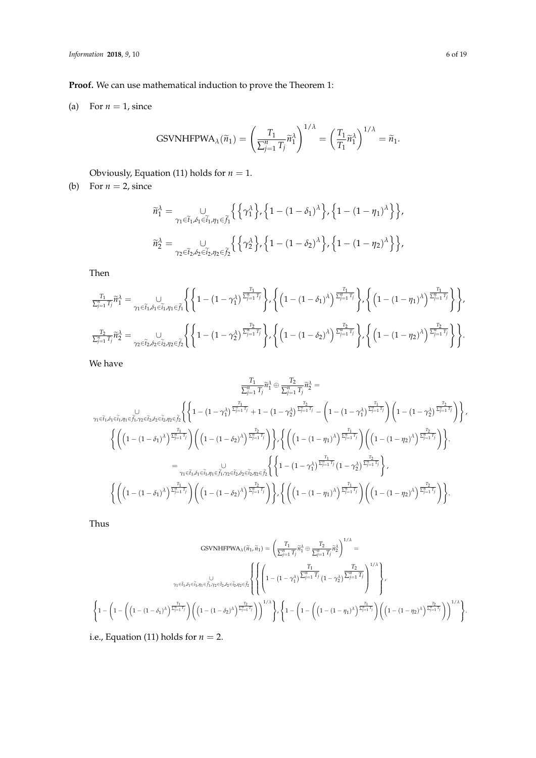**Proof.** We can use mathematical induction to prove the Theorem 1:

(a) For  $n = 1$ , since

GSVNIFPWA<sub>\lambda</sub>(
$$
\widetilde{n}_1
$$
) =  $\left(\frac{T_1}{\sum_{j=1}^n T_j} \widetilde{n}_1^{\lambda}\right)^{1/\lambda} = \left(\frac{T_1}{T_1} \widetilde{n}_1^{\lambda}\right)^{1/\lambda} = \widetilde{n}_1.$ 

Obviously, Equation (11) holds for  $n = 1$ .

(b) For  $n = 2$ , since

$$
\begin{aligned} \widetilde{n}_1^\lambda &= \underset{\gamma_1 \in \widetilde{t}_1, \delta_1 \in \widetilde{i}_1, \eta_1 \in \widetilde{f}_1}{\cup} \Big\{ \Big\{ \gamma_1^\lambda \Big\}, \Big\{ 1 - (1-\delta_1)^\lambda \Big\}, \Big\{ 1 - (1-\eta_1)^\lambda \Big\} \Big\}, \\ \widetilde{n}_2^\lambda &= \underset{\gamma_2 \in \widetilde{t}_2, \delta_2 \in \widetilde{i}_2, \eta_2 \in \widetilde{f}_2}{\cup} \Big\{ \Big\{ \gamma_2^\lambda \Big\}, \Big\{ 1 - (1-\delta_2)^\lambda \Big\}, \Big\{ 1 - (1-\eta_2)^\lambda \Big\} \Big\}, \end{aligned}
$$

Then

$$
\frac{\frac{T_1}{\sum_{j=1}^n T_j}}{\frac{T_2}{\sum_{j=1}^n T_j}} \widetilde{n}_1^{\lambda} = \bigcup_{\gamma_1 \in \widetilde{t}_1, \delta_1 \in \widetilde{t}_1, \eta_1 \in \widetilde{f}_1} \left\{ \left\{ 1 - \left( 1 - \gamma_1^{\lambda} \right)^{\frac{T_1}{\sum_{j=1}^n T_j}} \right\} , \left\{ \left( 1 - \left( 1 - \delta_1 \right)^{\lambda} \right)^{\frac{T_1}{\sum_{j=1}^n T_j}} \right\} , \left\{ \left( 1 - \left( 1 - \eta_1 \right)^{\lambda} \right)^{\frac{T_1}{\sum_{j=1}^n T_j}} \right\} \right\} , \left\{ \left( 1 - \left( 1 - \eta_1 \right)^{\lambda} \right)^{\frac{T_1}{\sum_{j=1}^n T_j}} \right\} \right\} , \left\{ \left( 1 - \left( 1 - \eta_1 \right)^{\lambda} \right)^{\frac{T_2}{\sum_{j=1}^n T_j}} \right\} \right\} .
$$

We have

$$
\frac{T_1}{\sum_{j=1}^n T_j} \tilde{n}_1^{\lambda} \oplus \frac{T_2}{\sum_{j=1}^n T_j} \tilde{n}_2^{\lambda} = \\
\gamma_1 \in \tilde{t}_1, \delta_1 \in \tilde{t}_1, \gamma_1 \in \tilde{f}_1, \gamma_2 \in \tilde{t}_2, \delta_2 \in \tilde{t}_2, \eta_2 \in \tilde{f}_2} \left\{ \left\{ 1 - \left( 1 - \gamma_1^{\lambda} \right)^{\frac{T_1}{\sum_{j=1}^n T_j}} + 1 - \left( 1 - \gamma_2^{\lambda} \right)^{\frac{T_2}{\sum_{j=1}^n T_j}} - \left( 1 - \left( 1 - \gamma_1^{\lambda} \right)^{\frac{T_1}{\sum_{j=1}^n T_j}} \right) \left( 1 - \left( 1 - \gamma_2^{\lambda} \right)^{\frac{T_2}{\sum_{j=1}^n T_j}} \right) \right\}, \\
\left\{ \left( \left( 1 - (1 - \delta_1)^{\lambda} \right)^{\frac{T_1}{\sum_{j=1}^n T_j}} \right) \left( \left( 1 - (1 - \delta_2)^{\lambda} \right)^{\frac{T_2}{\sum_{j=1}^n T_j}} \right) \right\}, \left\{ \left( \left( 1 - (1 - \eta_1)^{\lambda} \right)^{\frac{T_1}{\sum_{j=1}^n T_j}} \right) \left( \left( 1 - (1 - \eta_2)^{\lambda} \right)^{\frac{T_2}{\sum_{j=1}^n T_j}} \right) \right\}.
$$
\n
$$
= \sum_{\gamma_1 \in \tilde{t}_1, \delta_1 \in \tilde{t}_1, \gamma_1 \in \tilde{f}_1, \gamma_2 \in \tilde{t}_2, \delta_2 \in \tilde{t}_2, \eta_2 \in \tilde{f}_2} \left\{ \left\{ 1 - \left( 1 - \gamma_1^{\lambda} \right)^{\frac{T_1}{\sum_{j=1}^n T_j}} \right\}, \\
\left\{ \left( \left( 1 - (1 - \delta_1)^{\lambda} \right)^{\frac{T_1}{\sum_{j=1}^n T_j}} \right) \left( \left( 1 - (1 - \delta_2)^{\lambda} \right)^{\frac{T_2}{\sum_{j=1}^n T_j}} \right) \right\
$$

Thus

$$
\begin{split} \text{GSVNHFPWA}_{\lambda}(\widetilde{n}_1,\widetilde{n}_1) &= \Bigg( \frac{T_1}{\sum_{j=1}^n T_j} \widetilde{n}_1^{\lambda} \oplus \frac{T_2}{\sum_{j=1}^n T_j} \widetilde{n}_2^{\lambda} \Bigg)^{1/\lambda} = \\ &\hspace{5cm}\gamma_1 \in \widetilde{t}_1, \delta_1 \in \widetilde{t}_1, \gamma_1 \in \widetilde{f}_1, \gamma_2 \in \widetilde{t}_2, \delta_2 \in \widetilde{i}_2, \eta_2 \in \widetilde{\beta}_2 \Bigg\{ \Bigg\{ \Bigg( 1 - \big( 1 - \gamma_1^{\lambda} \big) \frac{\overline{\sum_{j=1}^n} T_j}{\sum_{j=1}^n T_j} \big( 1 - \gamma_2^{\lambda} \big) \frac{\overline{\sum_{j=1}^n} T_j}{\sum_{j=1}^n T_j} \Bigg)^{1/\lambda} \Bigg\}, \\ &\hspace{5cm}\Bigg\{ 1 - \Bigg( 1 - \Bigg( \big( 1 - (1 - \delta_1)^{\lambda} \big) \frac{\overline{\sum_{j=1}^n} T_j}{\sum_{j=1}^n T_j} \Bigg) \Bigg)^{1/\lambda} \Bigg\}, \Bigg\{ 1 - \Bigg( 1 - \Bigg( \big( 1 - (1 - \eta_1)^{\lambda} \big) \frac{\overline{\sum_{j=1}^n} T_j}{\sum_{j=1}^n T_j} \Bigg) \Bigg)^{1/\lambda} \Bigg\}. \end{split}
$$

i.e., Equation (11) holds for  $n = 2$ .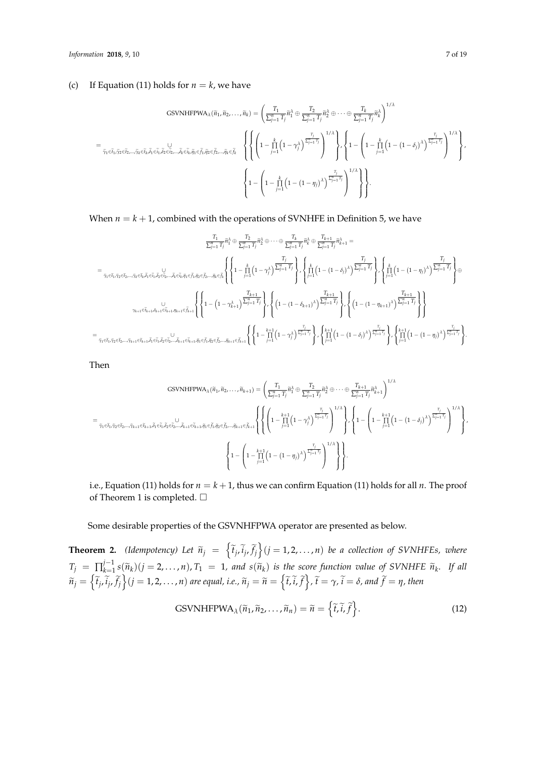# (c) If Equation (11) holds for  $n = k$ , we have

$$
\begin{split} & \text{GSVNIFFWA}_{\lambda}(\widetilde{n}_1, \widetilde{n}_2, \ldots, \widetilde{n}_k) = \Bigg( \frac{T_1}{\sum_{j=1}^n T_j} \widetilde{n}_1^{\lambda} \oplus \frac{T_2}{\sum_{j=1}^n T_j} \widetilde{n}_2^{\lambda} \oplus \cdots \oplus \frac{T_k}{\sum_{j=1}^n T_j} \widetilde{n}_k^{\lambda} \Bigg)^{1/\lambda} \\ = & \frac{1}{\widetilde{\gamma}_1 \in \widetilde{i}_1, \widetilde{\gamma}_2 \in \widetilde{i}_2, \ldots, \widetilde{\gamma}_k \in \widetilde{i}_k, \widetilde{\beta}_1 \in \widetilde{j}_1, \widetilde{\beta}_2 \in \widetilde{j}_2, \ldots, \widetilde{\beta}_k \in \widetilde{i}_k, \widetilde{\eta}_1 \in \widetilde{\beta}_1, \widetilde{\eta}_2 \in \widetilde{j}_2, \ldots, \widetilde{\eta}_k \in \widetilde{j}_k} \Bigg\{ \Bigg\{ \Bigg( 1 - \prod_{j=1}^k \Big( 1 - \gamma_j^{\lambda} \Big)^{\frac{T_j}{\sum_{j=1}^n T_j}} \Bigg)^{1/\lambda} \Bigg\}, \Bigg\{ 1 - \Bigg( 1 - \prod_{j=1}^k \Big( 1 - \big( 1 - \delta_j \big)^{\lambda} \Big)^{\frac{T_j}{\sum_{j=1}^n T_j}} \Bigg)^{1/\lambda} \Bigg\}, \\ & \Bigg\{ 1 - \Bigg( 1 - \prod_{j=1}^k \Big( 1 - \big( 1 - \eta_j \big)^{\lambda} \Big)^{\frac{T_j}{\sum_{j=1}^n T_j}} \Bigg)^{1/\lambda} \Bigg\} \Bigg\}. \end{split}
$$

When  $n = k + 1$ , combined with the operations of SVNHFE in Definition 5, we have

$$
\frac{T_1}{\sum_{j=1}^n T_j} \tilde{n}_1^{\lambda} \oplus \frac{T_2}{\sum_{j=1}^n T_j} \tilde{n}_2^{\lambda} \oplus \cdots \oplus \frac{T_k}{\sum_{j=1}^n T_j} \tilde{n}_k^{\lambda} \oplus \frac{T_{k+1}}{\sum_{j=1}^n T_j} \tilde{n}_{k+1}^{\lambda} =
$$
\n
$$
= \frac{T_j}{\tilde{\gamma}_1 \in \tilde{t}_1, \tilde{\gamma}_2 \in \tilde{t}_2, \ldots, \tilde{\gamma}_k \in \tilde{t}_k, \tilde{\beta}_1 \in \tilde{t}_1, \tilde{\beta}_2 \in \tilde{t}_2, \ldots, \tilde{\beta}_k \in \tilde{t}_k, \tilde{\eta}_1 \in \tilde{f}_1, \tilde{\beta}_2 \in \tilde{t}_2, \ldots, \tilde{\beta}_k \in \tilde{t}_k, \tilde{\eta}_1 \in \tilde{f}_1, \tilde{\eta}_2 \in \tilde{f}_2, \ldots, \tilde{\eta}_k \in \tilde{f}_k} \left\{ \left\{ 1 - \prod_{j=1}^k \left( 1 - \gamma_j^{\lambda} \right) \frac{T_j^{\mu}}{\sum_{j=1}^n T_j} \right\} , \left\{ \prod_{j=1}^k \left( 1 - (1 - \delta_j)^{\lambda} \right) \frac{T_j}{\sum_{j=1}^n T_j} \right\} , \left\{ \left( 1 - (1 - \delta_j)^{\lambda} \right) \frac{T_{k+1}}{\sum_{j=1}^n T_j} \right\} , \left\{ \left( 1 - (1 - \gamma_{k+1})^{\lambda} \right) \frac{T_{k+1}}{\sum_{j=1}^n T_j} \right\} , \left\{ \left( 1 - (1 - \gamma_{k+1})^{\lambda} \right) \frac{T_{k+1}}{\sum_{j=1}^n T_j} \right\} , \left\{ \left( 1 - (1 - \gamma_{k+1})^{\lambda} \right) \frac{T_{k+1}}{\sum_{j=1}^n T_j} \right\} , \left\{ \left( 1 - (1 - \gamma_{k+1})^{\lambda} \right) \frac{T_{k+1}}{\sum_{j=1}^n T_j} \right\} , \left\{ \left( 1 - (1 - \gamma_{k+1})^
$$

Then

$$
\begin{split} & \text{GSVNHFPWA}_{\lambda}(\tilde{n}_1, \tilde{n}_2, \ldots, \tilde{n}_{k+1}) = \Bigg( \frac{T_1}{\sum_{j=1}^n T_j} \tilde{n}_1^{\lambda} \oplus \frac{T_2}{\sum_{j=1}^n T_j} \tilde{n}_2^{\lambda} \oplus \cdots \oplus \frac{T_{k+1}}{\sum_{j=1}^n T_j} \tilde{n}_{k+1}^{\lambda} \Bigg)^{1/\lambda} \\ = \\ & \frac{1}{\hat{\gamma}_1 \in \tilde{t}_1, \tilde{\gamma}_2 \in \tilde{t}_2, \ldots, \tilde{\gamma}_{k+1} \in \tilde{t}_{k+1}, \tilde{\eta}_1 \in \tilde{f}_1, \tilde{\eta}_2 \in \tilde{\gamma}_2, \ldots, \tilde{\eta}_{k+1} \in \tilde{f}_k, \tilde{\eta}_2 \in \tilde{\gamma}_2, \ldots, \tilde{\eta}_{k+1} \in \tilde{f}_{k+1}} \Bigg\{ \Bigg\{ \Bigg( 1 - \frac{k+1}{j-1} \Big( 1 - \gamma_j^{\lambda} \Big)^{\frac{T_j}{\sum_{j=1}^n T_j}} \Bigg)^{1/\lambda} \Bigg\} \Bigg\} \cdot \Bigg\{ 1 - \Bigg( 1 - \prod_{j=1}^{k+1} \Big( 1 - (1-\delta_j)^{\lambda} \Big)^{\frac{T_j}{\sum_{j=1}^n T_j}} \Bigg)^{1/\lambda} \Bigg\} \Bigg\} \cdot \Bigg\} \cdot \Bigg\{ 1 - \Bigg( 1 - \prod_{j=1}^{k+1} \Big( 1 - (1-\delta_j)^{\lambda} \Big)^{\frac{T_j}{\sum_{j=1}^n T_j}} \Bigg)^{1/\lambda} \Bigg\} \Bigg\} \cdot \Bigg\} \cdot \end{split}
$$

i.e., Equation (11) holds for  $n = k + 1$ , thus we can confirm Equation (11) holds for all  $n$ . The proof of Theorem 1 is completed.  $\square$ 

Some desirable properties of the GSVNHFPWA operator are presented as below.

**Theorem 2.** *(Idempotency) Let*  $\widetilde{n}_j = \left\{ \widetilde{t}_j, \widetilde{i}_j, \widetilde{f}_j \right\}$   $(j = 1, 2, ..., n)$  *be a collection of SVNHFEs, where*  $T_j = \prod_{k=1}^{j-1}$  $\lim_{k \to \infty} \frac{f^{j-1} s(\widetilde{n}_k)(j = 2, \ldots, n), T_1 = 1$ , and  $s(\widetilde{n}_k)$  is the score function value of SVNHFE  $\widetilde{n}_k$ . If all  $\widetilde{n}_j=\left\{\widetilde{t}_j,\widetilde{i}_j,\widetilde{f}_j\right\}$  $(j=1,2,\ldots,n)$  are equal, i.e.,  $\widetilde{n}_j=\widetilde{n}=\left\{\widetilde{t},\widetilde{i},\widetilde{f}\right\}$ ,  $\widetilde{t}=\gamma$ ,  $\widetilde{i}=\delta$ , and  $\widetilde{f}=\eta$ , then

GSVNIFPWA<sub>λ</sub>(
$$
\tilde{n}_1, \tilde{n}_2, ..., \tilde{n}_n
$$
) =  $\tilde{n} = \{ \tilde{t}, \tilde{i}, \tilde{f} \}$ . (12)

.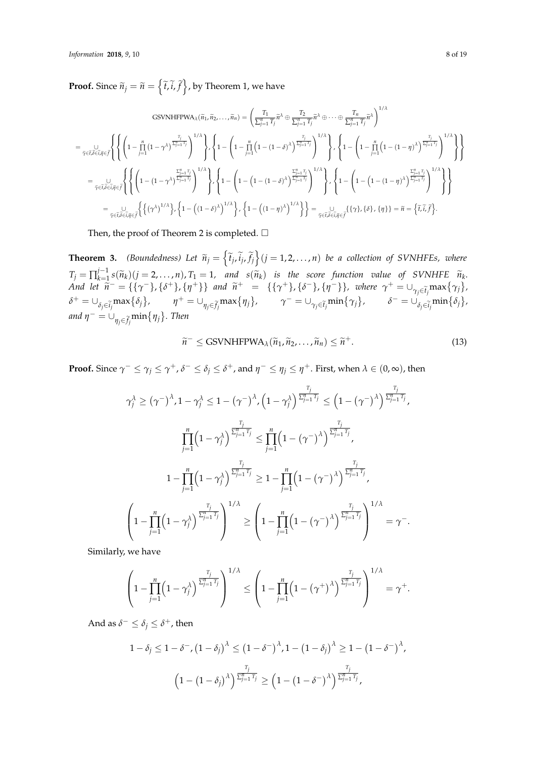**Proof.** Since  $\widetilde{n}_j = \widetilde{n} = \left\{\widetilde{t}, \widetilde{i}, \widetilde{f}\right\}$ , by Theorem 1, we have

$$
\text{GSVNHFPWA}_{\lambda}(\tilde{n}_1, \tilde{n}_2, \dots, \tilde{n}_n) = \left(\frac{T_1}{\sum_{j=1}^n T_j} \tilde{n}^{\lambda} \oplus \frac{T_2}{\sum_{j=1}^n T_j} \tilde{n}^{\lambda} \oplus \dots \oplus \frac{T_n}{\sum_{j=1}^n T_j} \tilde{n}^{\lambda}\right)^{1/\lambda}
$$
\n
$$
= \bigcup_{\tilde{\gamma} \in \tilde{t}, \tilde{\delta} \in \tilde{i}, \tilde{\eta} \in \tilde{f}} \left\{ \left(1 - \prod_{j=1}^n (1 - \gamma^{\lambda})^{\frac{T_j}{\sum_{j=1}^n T_j}}\right)^{1/\lambda} \right\}, \left\{1 - \left(1 - \prod_{j=1}^n (1 - (1 - \delta)^{\lambda})^{\frac{T_j}{\sum_{j=1}^n T_j}}\right)^{1/\lambda} \right\}, \left\{1 - \left(1 - \prod_{j=1}^n (1 - (1 - \eta)^{\lambda})^{\frac{T_j}{\sum_{j=1}^n T_j}}\right)^{1/\lambda} \right\} \right\}
$$
\n
$$
= \bigcup_{\tilde{\gamma} \in \tilde{t}, \tilde{\delta} \in \tilde{i}, \tilde{\eta} \in \tilde{f}} \left\{ \left\{ \left(1 - (1 - \gamma^{\lambda})^{\frac{\sum_{j=1}^n T_j}{\sum_{j=1}^n T_j}}\right)^{1/\lambda} \right\}, \left\{1 - \left(1 - (1 - (\delta)^{\lambda})^{\frac{\sum_{j=1}^n T_j}{\sum_{j=1}^n T_j}}\right)^{1/\lambda} \right\}, \left\{1 - \left(1 - (1 - \delta)^{\lambda}\right)^{\frac{\sum_{j=1}^n T_j}{\sum_{j=1}^n T_j}}\right\} \right\}
$$
\n
$$
= \bigcup_{\tilde{\gamma} \in \tilde{t}, \tilde{\delta} \in \tilde{i}, \tilde{\eta} \in \tilde{f}} \left\{ \left\{ (\gamma^{\lambda})^{1/\lambda} \right\}, \left\{1 - \left((1 - \delta)^{\lambda}\right)^{1/\lambda} \right\}, \left\{1 - \left((1 - \eta)^{\lambda}\right)^{1/\lambda} \right\} \right\} = \bigcup_{\tilde{\gamma} \in \
$$

Then, the proof of Theorem 2 is completed.  $\square$ 

**Theorem 3.** *(Boundedness) Let*  $\widetilde{n}_j = \left\{ \widetilde{t}_j, \widetilde{t}_j, \widetilde{f}_j \right\}$   $(j = 1, 2, ..., n)$  be a collection of SVNHFEs, where  $T_j = \prod_{k=1}^{j-1}$  $\chi_{k=1}^{-1} s(\widetilde{n}_k)(j=2,\ldots,n),$   $T_1 = 1$ , and  $s(\widetilde{n}_k)$  is the score function value of SVNHFE  $\widetilde{n}_k$ .<br>  $\chi_{k=1}^{-1} s(\widetilde{n}_k)(j=1,\ldots,n),$   $T_2 = 1$ , and  $S(\widetilde{n}_k)$  is the score function value of SVNHFE  $\widetilde{n}_k$ . And let  $\tilde{n}^- = \{\{\gamma^-\}, \{\delta^+\}, \{\eta^+\}\}\$  and  $\tilde{n}^+ = \{\{\gamma^+\}, \{\delta^-\}, \{\eta^-\}\}\$ , where  $\gamma^+ = \bigcup_{\gamma_j \in \tilde{t}_j} \max\{\gamma_j\}$ ,  $\delta^+ = \cup_{\delta_j \in \widetilde{i}_j} \max\{\delta_j\}, \qquad \eta^+ = \cup_{\eta_j \in \widetilde{f}_j} \max\{\eta_j\}, \qquad \gamma^- = \cup_{\gamma_j \in \widetilde{t}_j} \min\{\gamma_j\}, \qquad \delta^- = \cup_{\delta_j \in \widetilde{i}_j} \min\{\delta_j\},$ *and*  $\eta^- = \cup_{\eta_j \in \widetilde{f}_j} \min\{\eta_j\}$ . *Then* 

$$
\widetilde{n}^- \leq \text{GSVMHFPWA}_{\lambda}(\widetilde{n}_1, \widetilde{n}_2, \dots, \widetilde{n}_n) \leq \widetilde{n}^+.
$$
\n(13)

**Proof.** Since  $\gamma^- \le \gamma_j \le \gamma^+$ ,  $\delta^- \le \delta_j \le \delta^+$ , and  $\eta^- \le \eta_j \le \eta^+$ . First, when  $\lambda \in (0, \infty)$ , then

$$
\begin{split} \gamma_j^\lambda \geq (\gamma^-)^\lambda, 1-\gamma_j^\lambda \leq 1- (\gamma^-)^\lambda, \left(1-\gamma_j^\lambda\right)^{\frac{T_j}{\sum_{j=1}^n T_j}} \leq \left(1-(\gamma^-)^\lambda\right)^{\frac{T_j}{\sum_{j=1}^n T_j}},\\ \prod_{j=1}^n \left(1-\gamma_j^\lambda\right)^{\frac{T_j}{\sum_{j=1}^n T_j}} \leq \prod_{j=1}^n \left(1-(\gamma^-)^\lambda\right)^{\frac{T_j}{\sum_{j=1}^n T_j}},\\ 1-\prod_{j=1}^n \left(1-\gamma_j^\lambda\right)^{\frac{T_j}{\sum_{j=1}^n T_j}} \geq 1-\prod_{j=1}^n \left(1-(\gamma^-)^\lambda\right)^{\frac{T_j}{\sum_{j=1}^n T_j}},\\ \left(1-\prod_{j=1}^n \left(1-\gamma_j^\lambda\right)^{\frac{T_j}{\sum_{j=1}^n T_j}}\right)^{1/\lambda} \geq \left(1-\prod_{j=1}^n \left(1-(\gamma^-)^\lambda\right)^{\frac{T_j}{\sum_{j=1}^n T_j}}\right)^{1/\lambda} = \gamma^-.\end{split}
$$

Similarly, we have

$$
\left(1-\prod_{j=1}^n\left(1-\gamma_j^\lambda\right)^{\frac{T_j}{\sum_{j=1}^nT_j}}\right)^{1/\lambda}\leq\left(1-\prod_{j=1}^n\left(1-\left(\gamma^+\right)^\lambda\right)^{\frac{T_j}{\sum_{j=1}^nT_j}}\right)^{1/\lambda}=\gamma^+.
$$

And as  $\delta^- \leq \delta_j \leq \delta^+$ , then

$$
1 - \delta_j \le 1 - \delta^-, (1 - \delta_j)^\lambda \le (1 - \delta^-)^\lambda, 1 - (1 - \delta_j)^\lambda \ge 1 - (1 - \delta^-)^\lambda,
$$

$$
\left(1 - (1 - \delta_j)^\lambda\right)^{\frac{T_j}{\sum_{j=1}^n T_j}} \ge \left(1 - (1 - \delta^-)^\lambda\right)^{\frac{T_j}{\sum_{j=1}^n T_j}},
$$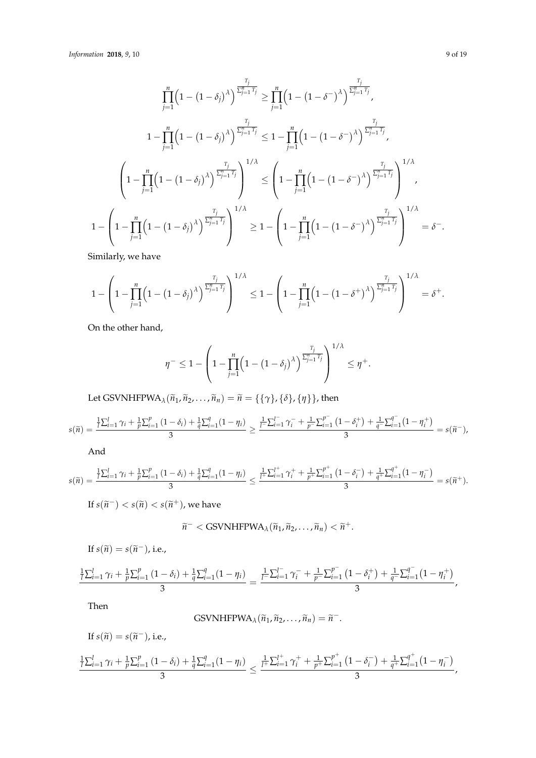$$
\prod_{j=1}^{n} \left(1 - (1 - \delta_{j})^{\lambda}\right)^{\frac{T_{j}}{\sum_{j=1}^{n} T_{j}}} \geq \prod_{j=1}^{n} \left(1 - (1 - \delta^{-})^{\lambda}\right)^{\frac{T_{j}}{\sum_{j=1}^{n} T_{j}}},
$$
\n
$$
1 - \prod_{j=1}^{n} \left(1 - (1 - \delta_{j})^{\lambda}\right)^{\frac{T_{j}}{\sum_{j=1}^{n} T_{j}}} \leq 1 - \prod_{j=1}^{n} \left(1 - (1 - \delta^{-})^{\lambda}\right)^{\frac{T_{j}}{\sum_{j=1}^{n} T_{j}}},
$$
\n
$$
\left(1 - \prod_{j=1}^{n} \left(1 - (1 - \delta_{j})^{\lambda}\right)^{\frac{T_{j}}{\sum_{j=1}^{n} T_{j}}}\right)^{1/\lambda} \leq \left(1 - \prod_{j=1}^{n} \left(1 - (1 - \delta^{-})^{\lambda}\right)^{\frac{T_{j}}{\sum_{j=1}^{n} T_{j}}}\right)^{1/\lambda},
$$
\n
$$
1 - \left(1 - \prod_{j=1}^{n} \left(1 - (1 - \delta_{j})^{\lambda}\right)^{\frac{T_{j}}{\sum_{j=1}^{n} T_{j}}}\right)^{1/\lambda} \geq 1 - \left(1 - \prod_{j=1}^{n} \left(1 - (1 - \delta^{-})^{\lambda}\right)^{\frac{T_{j}}{\sum_{j=1}^{n} T_{j}}}\right)^{1/\lambda} = \delta^{-}.
$$

Similarly, we have

$$
1 - \left(1 - \prod_{j=1}^n \left(1 - \left(1 - \delta_j\right)^\lambda\right)^{\frac{T_j}{\sum_{j=1}^n T_j}}\right)^{1/\lambda} \le 1 - \left(1 - \prod_{j=1}^n \left(1 - \left(1 - \delta^+\right)^\lambda\right)^{\frac{T_j}{\sum_{j=1}^n T_j}}\right)^{1/\lambda} = \delta^+.
$$

On the other hand,

$$
\eta^{-} \leq 1 - \left(1 - \prod_{j=1}^{n} \left(1 - \left(1 - \delta_j\right)^{\lambda}\right)^{\frac{T_j}{\sum_{j=1}^{n} T_j}}\right)^{1/\lambda} \leq \eta^{+}.
$$

Let GSVNHFPWA<sub> $\lambda$ </sub>( $\tilde{n}_1$ ,  $\tilde{n}_2$ , . . . ,  $\tilde{n}_n$ ) =  $\tilde{n}$  = {{ $\gamma$ }, { $\delta$ }, { $\eta$ }}, then

$$
s(\widetilde{n}) = \frac{\frac{1}{l}\sum_{i=1}^{l}\gamma_{i} + \frac{1}{p}\sum_{i=1}^{p}(1-\delta_{i}) + \frac{1}{q}\sum_{i=1}^{q}(1-\eta_{i})}{3} \geq \frac{\frac{1}{l}\sum_{i=1}^{l} \gamma_{i}^{-} + \frac{1}{p^{-}}\sum_{i=1}^{p^{-}}(1-\delta_{i}^{+}) + \frac{1}{q^{-}}\sum_{i=1}^{q^{-}}(1-\eta_{i}^{+})}{3} = s(\widetilde{n}^{-}),
$$

And

$$
s(\widetilde{n}) = \frac{\frac{1}{l}\sum_{i=1}^{l}\gamma_i + \frac{1}{p}\sum_{i=1}^{p}(1-\delta_i) + \frac{1}{q}\sum_{i=1}^{q}(1-\eta_i)}{3} \leq \frac{\frac{1}{l^{+}}\sum_{i=1}^{l^{+}}\gamma_i^{+} + \frac{1}{p^{+}}\sum_{i=1}^{p^{+}}(1-\delta_i^{-}) + \frac{1}{q^{+}}\sum_{i=1}^{q^{+}}(1-\eta_i^{-})}{3} = s(\widetilde{n}^{+}).
$$

If  $s(\widetilde{n}^-) < s(\widetilde{n}) < s(\widetilde{n}^+)$ , we have

$$
\widetilde{n}^-< \text{GSVNHFPWA}_{\lambda}(\widetilde{n}_1,\widetilde{n}_2,\ldots,\widetilde{n}_n)<\widetilde{n}^+.
$$

If 
$$
s(\tilde{n}) = s(\tilde{n}^-)
$$
, i.e.,

$$
\frac{\frac{1}{l}\sum_{i=1}^{l}\gamma_{i}+\frac{1}{p}\sum_{i=1}^{p}(1-\delta_{i})+\frac{1}{q}\sum_{i=1}^{q}(1-\eta_{i})}{3}=\frac{\frac{1}{l^{-}\sum_{i=1}^{l^{-}}\gamma_{i}^{-}+\frac{1}{p^{-}\sum_{i=1}^{p^{-}}}(1-\delta_{i}^{+})+\frac{1}{q^{-}\sum_{i=1}^{q^{-}}}(1-\eta_{i}^{+})}{3},
$$

Then

GSVMHFPWA<sub>$$
\lambda
$$</sub>( $\widetilde{n}_1, \widetilde{n}_2, ..., \widetilde{n}_n$ ) =  $\widetilde{n}^-$ .

If 
$$
s(\tilde{n}) = s(\tilde{n}^{-})
$$
, i.e.,  
\n
$$
\frac{\frac{1}{l}\sum_{i=1}^{l}\gamma_{i} + \frac{1}{p}\sum_{i=1}^{p}(1-\delta_{i}) + \frac{1}{q}\sum_{i=1}^{q}(1-\eta_{i})}{3} \leq \frac{\frac{1}{l^{+}}\sum_{i=1}^{l^{+}}\gamma_{i}^{+} + \frac{1}{p^{+}}\sum_{i=1}^{p^{+}}(1-\delta_{i}^{-}) + \frac{1}{q^{+}}\sum_{i=1}^{q^{+}}(1-\eta_{i}^{-})}{3},
$$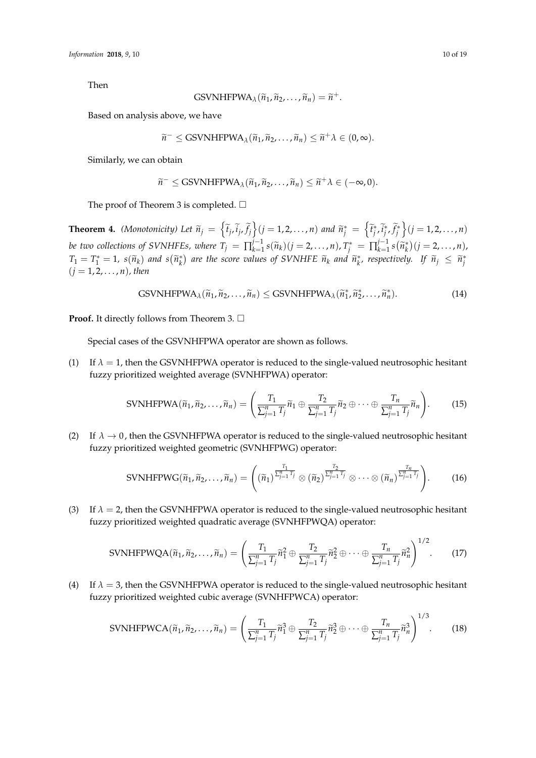Then

GSVMHFPWA<sub>$$
\lambda
$$</sub>( $\widetilde{n}_1$ ,  $\widetilde{n}_2$ ,...,  $\widetilde{n}_n$ ) =  $\widetilde{n}^+$ .

Based on analysis above, we have

$$
\widetilde{n}^- \leq \text{GSVNHFPWA}_{\lambda}(\widetilde{n}_1, \widetilde{n}_2, \ldots, \widetilde{n}_n) \leq \widetilde{n}^+ \lambda \in (0, \infty).
$$

Similarly, we can obtain

$$
\widetilde{n}^- \leq \text{GSVNHFPWA}_{\lambda}(\widetilde{n}_1, \widetilde{n}_2, \ldots, \widetilde{n}_n) \leq \widetilde{n}^+ \lambda \in (-\infty, 0).
$$

The proof of Theorem 3 is completed.  $\Box$ 

**Theorem 4.** (Monotonicity) Let  $\widetilde{n}_j = \left\{ \widetilde{t}_j, \widetilde{i}_j, \widetilde{f}_j \right\} (j = 1, 2, ..., n)$  and  $\widetilde{n}_j^* = \left\{ \widetilde{t}_j^*, \widetilde{i}_j^*, \widetilde{f}_j^* \right\} (j = 1, 2, ..., n)$ *be two collections of SVNHFEs, where*  $T_j = \prod_{k=1}^{j-1}$  $\tilde{J}_{k=1}^{-1} s(\tilde{n}_k) (j = 2, \ldots, n)$ ,  $T_j^* = \prod_{k=1}^{j-1}$  $\hat{h}_{k=1}^{j-1} s(\tilde{n}_k^*)$   $(j = 2, ..., n)$ ,  $T_1 = T_1^* = 1$ ,  $s(\widetilde{n}_k)$  and  $s(\widetilde{n}_k^*)$  are the score values of SVNHFE  $\widetilde{n}_k$  and  $\widetilde{n}_k^*$ , respectively. If  $\widetilde{n}_j \leq \widetilde{n}_j^*$ (*j* = 1, 2, . . . , *n*)*, then*

GSVNIFPWA<sub>\lambda</sub>(
$$
\widetilde{n}_1, \widetilde{n}_2, ..., \widetilde{n}_n
$$
)  $\leq$ GSVNIFFWA<sub>\lambda</sub>( $\widetilde{n}_1^*, \widetilde{n}_2^*, ..., \widetilde{n}_n^*$ ). (14)

**Proof.** It directly follows from Theorem 3. □

Special cases of the GSVNHFPWA operator are shown as follows.

(1) If  $\lambda = 1$ , then the GSVNHFPWA operator is reduced to the single-valued neutrosophic hesitant fuzzy prioritized weighted average (SVNHFPWA) operator:

$$
\text{SVMHFPWA}(\widetilde{n}_1, \widetilde{n}_2, \dots, \widetilde{n}_n) = \left( \frac{T_1}{\sum_{j=1}^n T_j} \widetilde{n}_1 \oplus \frac{T_2}{\sum_{j=1}^n T_j} \widetilde{n}_2 \oplus \dots \oplus \frac{T_n}{\sum_{j=1}^n T_j} \widetilde{n}_n \right). \tag{15}
$$

(2) If  $\lambda \to 0$ , then the GSVNHFPWA operator is reduced to the single-valued neutrosophic hesitant fuzzy prioritized weighted geometric (SVNHFPWG) operator:

$$
\text{SVMHFPWG}(\widetilde{n}_1, \widetilde{n}_2, \dots, \widetilde{n}_n) = \left( (\widetilde{n}_1)^{\frac{T_1}{\sum_{j=1}^n T_j}} \otimes (\widetilde{n}_2)^{\frac{T_2}{\sum_{j=1}^n T_j}} \otimes \dots \otimes (\widetilde{n}_n)^{\frac{T_n}{\sum_{j=1}^n T_j}} \right). \tag{16}
$$

(3) If  $\lambda = 2$ , then the GSVNHFPWA operator is reduced to the single-valued neutrosophic hesitant fuzzy prioritized weighted quadratic average (SVNHFPWQA) operator:

$$
\text{SVMHFPWQA}(\widetilde{n}_1, \widetilde{n}_2, \dots, \widetilde{n}_n) = \left(\frac{T_1}{\sum_{j=1}^n T_j} \widetilde{n}_1^2 \oplus \frac{T_2}{\sum_{j=1}^n T_j} \widetilde{n}_2^2 \oplus \dots \oplus \frac{T_n}{\sum_{j=1}^n T_j} \widetilde{n}_n^2\right)^{1/2}.\tag{17}
$$

(4) If *λ* = 3, then the GSVNHFPWA operator is reduced to the single-valued neutrosophic hesitant fuzzy prioritized weighted cubic average (SVNHFPWCA) operator:

$$
\text{SVMHFPWCA}(\widetilde{n}_1, \widetilde{n}_2, \dots, \widetilde{n}_n) = \left(\frac{T_1}{\sum_{j=1}^n T_j} \widetilde{n}_1^3 \oplus \frac{T_2}{\sum_{j=1}^n T_j} \widetilde{n}_2^3 \oplus \dots \oplus \frac{T_n}{\sum_{j=1}^n T_j} \widetilde{n}_n^3\right)^{1/3}.\tag{18}
$$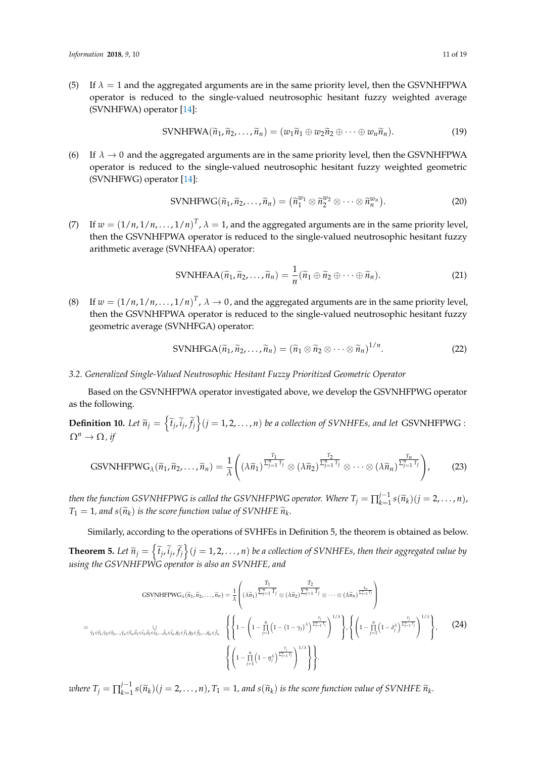(5) If  $\lambda = 1$  and the aggregated arguments are in the same priority level, then the GSVNHFPWA operator is reduced to the single-valued neutrosophic hesitant fuzzy weighted average (SVNHFWA) operator [\[14\]](#page-18-7):

$$
\text{SVNHFWA}(\widetilde{n}_1, \widetilde{n}_2, \dots, \widetilde{n}_n) = (w_1 \widetilde{n}_1 \oplus w_2 \widetilde{n}_2 \oplus \dots \oplus w_n \widetilde{n}_n). \tag{19}
$$

(6) If  $\lambda \to 0$  and the aggregated arguments are in the same priority level, then the GSVNHFPWA operator is reduced to the single-valued neutrosophic hesitant fuzzy weighted geometric (SVNHFWG) operator [\[14\]](#page-18-7):

$$
\text{SVNHFWG}(\widetilde{n}_1, \widetilde{n}_2, \dots, \widetilde{n}_n) = (\widetilde{n}_1^{w_1} \otimes \widetilde{n}_2^{w_2} \otimes \dots \otimes \widetilde{n}_n^{w_n}). \tag{20}
$$

(7) If  $w = (1/n, 1/n, ..., 1/n)^T$ ,  $\lambda = 1$ , and the aggregated arguments are in the same priority level, then the GSVNHFPWA operator is reduced to the single-valued neutrosophic hesitant fuzzy arithmetic average (SVNHFAA) operator:

$$
\text{SVMFFAA}(\widetilde{n}_1, \widetilde{n}_2, \dots, \widetilde{n}_n) = \frac{1}{n} (\widetilde{n}_1 \oplus \widetilde{n}_2 \oplus \dots \oplus \widetilde{n}_n). \tag{21}
$$

(8) If  $w = (1/n, 1/n, ..., 1/n)^T$ ,  $\lambda \to 0$ , and the aggregated arguments are in the same priority level, then the GSVNHFPWA operator is reduced to the single-valued neutrosophic hesitant fuzzy geometric average (SVNHFGA) operator:

$$
\text{SVNHFGA}(\widetilde{n}_1, \widetilde{n}_2, \dots, \widetilde{n}_n) = (\widetilde{n}_1 \otimes \widetilde{n}_2 \otimes \dots \otimes \widetilde{n}_n)^{1/n}.\tag{22}
$$

#### *3.2. Generalized Single-Valued Neutrosophic Hesitant Fuzzy Prioritized Geometric Operator*

Based on the GSVNHFPWA operator investigated above, we develop the GSVNHFPWG operator as the following.

**Definition 10.** Let  $\widetilde{n}_j = \left\{ \widetilde{t}_j, \widetilde{i}_j, \widetilde{f}_j \right\}$   $(j = 1, 2, ..., n)$  *be a collection of SVNHFEs, and let* GSVNHFPWG :  $\Omega^n \to \Omega$ *, if* 

GSVMHFPWG<sub>\lambda</sub>(
$$
\widetilde{n}_1, \widetilde{n}_2, ..., \widetilde{n}_n
$$
) =  $\frac{1}{\lambda} \left( (\lambda \widetilde{n}_1)^{\frac{T_1}{\sum_{j=1}^n T_j}} \otimes (\lambda \widetilde{n}_2)^{\frac{T_2}{\sum_{j=1}^n T_j}} \otimes \cdots \otimes (\lambda \widetilde{n}_n)^{\frac{T_n}{\sum_{j=1}^n T_j}} \right),$  (23)

*then the function GSVNHFPWG is called the GSVNHFPWG operator. Where*  $T_j = \prod_{k=1}^{j-1}$  $\prod_{k=1}^{j-1} s(\widetilde{n}_k)(j=2,\ldots,n),$  $T_1 = 1$ *, and s*( $\widetilde{n}_k$ ) *is the score function value of SVNHFE*  $\widetilde{n}_k$ *.* 

Similarly, according to the operations of SVHFEs in Definition 5, the theorem is obtained as below. **Theorem 5.** Let  $\tilde{n}_j = \left\{ \tilde{t}_j, \tilde{i}_j, \tilde{f}_j \right\}$   $(j = 1, 2, ..., n)$  be a collection of SVNHFEs, then their aggregated value by *using the GSVNHFPWG operator is also an SVNHFE, and*

GSVNHFPWG<sub>λ</sub>(
$$
\tilde{n}_1, \tilde{n}_2, ..., \tilde{n}_n
$$
) =  $\frac{1}{\lambda} \left( (\lambda \tilde{n}_1)^{\frac{T_1}{\sum_{j=1}^n T_j}} \otimes (\lambda \tilde{n}_2)^{\frac{T_2}{\sum_{j=1}^n T_j}} \otimes ... \otimes (\lambda \tilde{n}_n)^{\frac{T_n}{\sum_{j=1}^n T_j}} \right)$   
=  $\sum_{\tilde{\gamma}_1 \in \tilde{t}_1, \tilde{\gamma}_2 \in \tilde{t}_2, ..., \tilde{\gamma}_n \in \tilde{t}_n, \tilde{\delta}_1 \in \tilde{t}_1, \tilde{\delta}_2 \in \tilde{t}_2, ..., \tilde{\delta}_n \in \tilde{t}_n, \tilde{\eta}_1 \in \tilde{f}_1, \tilde{\eta}_2 \in \tilde{f}_2, ..., \tilde{\eta}_n \in \tilde{t}_n}$   $\left\{ \left\{ 1 - \left( 1 - \prod_{j=1}^n \left( 1 - (1 - \gamma_j) \lambda \right)^{\frac{T_j}{\sum_{j=1}^n T_j}} \right)^{1/\lambda} \right\}, \left\{ \left( 1 - \prod_{j=1}^n \left( 1 - \delta_j^{\lambda} \right)^{\frac{T_j}{\sum_{j=1}^n T_j}} \right)^{1/\lambda} \right\}, \qquad (24)$ 

*where*  $T_j = \prod_{k=1}^{j-1}$  $f_{k=1}^{f-1} s(\widetilde{n}_k)(j=2,\ldots,n)$ ,  $T_1=1$ , and  $s(\widetilde{n}_k)$  is the score function value of SVNHFE  $\widetilde{n}_k$ .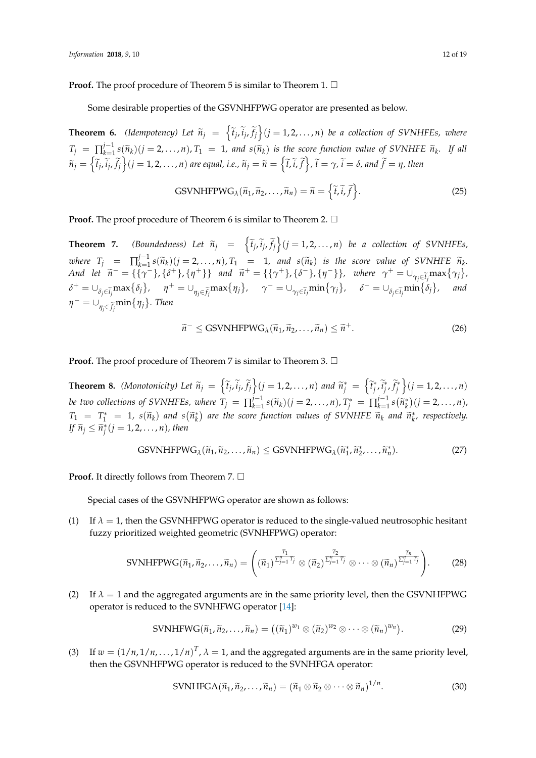Some desirable properties of the GSVNHFPWG operator are presented as below.

**Theorem 6.** *(Idempotency) Let*  $\widetilde{n}_j = \left\{ \widetilde{t}_j, \widetilde{i}_j, \widetilde{f}_j \right\}$   $(j = 1, 2, ..., n)$  *be a collection of SVNHFEs, where*  $T_j = \prod_{k=1}^{j-1}$  $\lim_{k \to \infty} \frac{f^{j-1} s(\widetilde{n}_k)(j = 2, \ldots, n)}{s - 1}$ , and  $s(\widetilde{n}_k)$  is the score function value of SVNHFE  $\widetilde{n}_k$ . If all  $\widetilde{n}_j=\left\{\widetilde{t}_j,\widetilde{i}_j,\widetilde{f}_j\right\}$  $(j=1,2,\ldots,n)$  are equal, i.e.,  $\widetilde{n}_j=\widetilde{n}=\left\{\widetilde{t},\widetilde{i},\widetilde{f}\right\}$ ,  $\widetilde{t}=\gamma$ ,  $\widetilde{i}=\delta$ , and  $\widetilde{f}=\eta$ , then

GSVMHFPWG<sub>$$
\lambda
$$</sub>( $\tilde{n}_1, \tilde{n}_2, ..., \tilde{n}_n$ ) =  $\tilde{n} = \{ \tilde{t}, \tilde{i}, \tilde{f} \}.$  (25)

**Proof.** The proof procedure of Theorem 6 is similar to Theorem 2.  $\Box$ 

**Theorem 7.** *(Boundedness)* Let  $\widetilde{n}_j = \left\{ \widetilde{t}_j, \widetilde{i}_j, \widetilde{f}_j \right\}$   $(j = 1, 2, ..., n)$  be a collection of SVNHFEs, *where*  $T_j$  =  $\prod_{k=1}^{j-1}$  $\kappa_{k=1}^{j-1} s(\widetilde{n}_k)(j = 2, ..., n),$   $T_1 = 1$ , and  $s(\widetilde{n}_k)$  is the score value of SVNHFE  $\widetilde{n}_k$ .<br>  $f_k = 1$ ,  $(s+1)$ ,  $s+1$ ,  $s+1$ ,  $s+1$ ,  $s-1$ ,  $s-1$ ,  $s+1$ ,  $s+1$ ,  $s-1$ ,  $s+1$ ,  $s-1$ ,  $s+1$ ,  $s-1$ ,  $s+1$ ,  $s-1$ ,  $s+1$ , And let  $\widetilde{n}^- = {\{\gamma^-\}, \{\delta^+\}, \{\eta^+\}\}\$ and  $\widetilde{n}^+ = {\{\{\gamma^+\}, \{\delta^-\}, \{\eta^-\}\}\}\$ , where  $\gamma^+ = \bigcup_{\gamma_j \in \widetilde{t}_j} \max{\{\gamma_j\}}\}$  $\delta^+ = \cup_{\delta_j \in \tilde{i}_j} \max\{\delta_j\}, \quad \eta^+ = \cup_{\eta_j \in \tilde{f}_j} \max\{\eta_j\}, \quad \gamma^- = \cup_{\gamma_j \in \tilde{i}_j} \min\{\gamma_j\}, \quad \delta^- = \cup_{\delta_j \in \tilde{i}_j} \min\{\delta_j\}$ *, and*  $\eta^- = \cup_{\eta_j \in \widetilde{f}_j} \min\{\eta_j\}$ *. Then* 

$$
\widetilde{n}^- \leq \text{GSVMHFPWG}_{\lambda}(\widetilde{n}_1, \widetilde{n}_2, \dots, \widetilde{n}_n) \leq \widetilde{n}^+.
$$
\n(26)

**Proof.** The proof procedure of Theorem 7 is similar to Theorem 3. □

**Theorem 8.** (Monotonicity) Let  $\widetilde{n}_j = \left\{ \widetilde{t}_j, \widetilde{i}_j, \widetilde{f}_j \right\} (j = 1, 2, ..., n)$  and  $\widetilde{n}_j^* = \left\{ \widetilde{t}_j^*, \widetilde{i}_j^*, \widetilde{f}_j^* \right\} (j = 1, 2, ..., n)$ *be two collections of SVNHFEs, where*  $T_j = \prod_{k=1}^{j-1}$  $\tilde{f}_{k=1}^{-1} s(\tilde{n}_k)(j = 2, \ldots, n), T_j^* = \prod_{k=1}^{j-1}$  $\sum_{k=1}^{j-1} s(\widetilde{n}_k^*)(j = 2, ..., n),$  $T_1 = T_1^* = 1$ ,  $s(\tilde{n}_k)$  and  $s(\tilde{n}_k^*)$  are the score function values of SVNHFE  $\tilde{n}_k$  and  $\tilde{n}_k^*$ , respectively. *If*  $\widetilde{n}_j \leq \widetilde{n}_j^*(j = 1, 2, \ldots, n)$ , then

GSVMHFPWG<sub>\lambda</sub>(
$$
\widetilde{n}_1, \widetilde{n}_2, ..., \widetilde{n}_n
$$
)  $\leq$ GSVMHFPWG<sub>\lambda</sub>( $\widetilde{n}_1^*, \widetilde{n}_2^*, ..., \widetilde{n}_n^*$ ). (27)

**Proof.** It directly follows from Theorem 7. □

Special cases of the GSVNHFPWG operator are shown as follows:

(1) If  $\lambda = 1$ , then the GSVNHFPWG operator is reduced to the single-valued neutrosophic hesitant fuzzy prioritized weighted geometric (SVNHFPWG) operator:

$$
\text{SVMHFPWG}(\widetilde{n}_1, \widetilde{n}_2, \dots, \widetilde{n}_n) = \left( (\widetilde{n}_1)^{\frac{T_1}{\sum_{j=1}^n T_j}} \otimes (\widetilde{n}_2)^{\frac{T_2}{\sum_{j=1}^n T_j}} \otimes \dots \otimes (\widetilde{n}_n)^{\frac{T_n}{\sum_{j=1}^n T_j}} \right). \tag{28}
$$

(2) If  $\lambda = 1$  and the aggregated arguments are in the same priority level, then the GSVNHFPWG operator is reduced to the SVNHFWG operator [\[14\]](#page-18-7):

$$
\text{SVNHFWG}(\widetilde{n}_1, \widetilde{n}_2, \dots, \widetilde{n}_n) = ((\widetilde{n}_1)^{w_1} \otimes (\widetilde{n}_2)^{w_2} \otimes \dots \otimes (\widetilde{n}_n)^{w_n}). \tag{29}
$$

(3) If  $w = (1/n, 1/n, ..., 1/n)^T$ ,  $\lambda = 1$ , and the aggregated arguments are in the same priority level, then the GSVNHFPWG operator is reduced to the SVNHFGA operator:

$$
\text{SVMHFGA}(\widetilde{n}_1, \widetilde{n}_2, \dots, \widetilde{n}_n) = (\widetilde{n}_1 \otimes \widetilde{n}_2 \otimes \dots \otimes \widetilde{n}_n)^{1/n}.\tag{30}
$$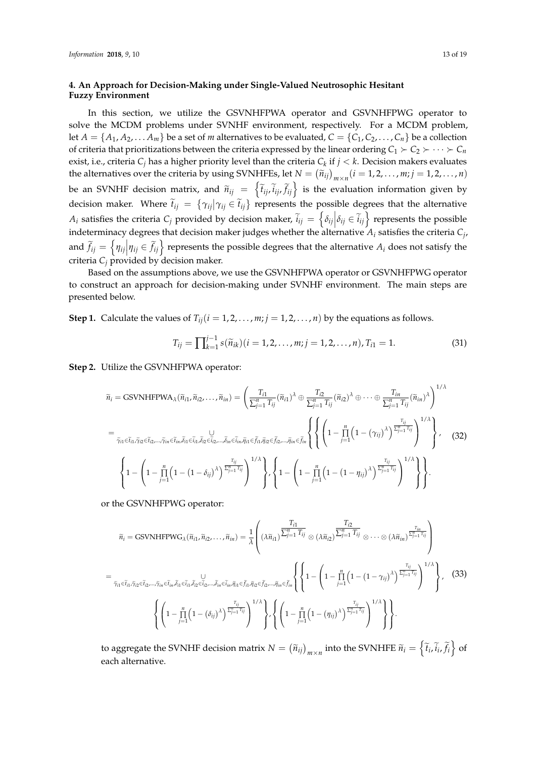# <span id="page-12-0"></span>**4. An Approach for Decision-Making under Single-Valued Neutrosophic Hesitant Fuzzy Environment**

In this section, we utilize the GSVNHFPWA operator and GSVNHFPWG operator to solve the MCDM problems under SVNHF environment, respectively. For a MCDM problem, let  $A = \{A_1, A_2, \ldots, A_m\}$  be a set of *m* alternatives to be evaluated,  $C = \{C_1, C_2, \ldots, C_n\}$  be a collection of criteria that prioritizations between the criteria expressed by the linear ordering  $C_1 \succ C_2 \succ \cdots \succ C_n$ exist, i.e., criteria *C<sup>j</sup>* has a higher priority level than the criteria *C<sup>k</sup>* if *j* < *k*. Decision makers evaluates the alternatives over the criteria by using SVNHFEs, let  $N = (\tilde{n}_{ij})_{m \times n} (i = 1, 2, ..., m; j = 1, 2, ..., n)$ be an SVNHF decision matrix, and  $\widetilde{n}_{ij} = \left\{ \widetilde{t}_{ij}, \widetilde{i}_{ij}, \widetilde{t}_{ij} \right\}$  is the evaluation information given by decision maker. Where  $\tilde{t}_{ij} = \{\gamma_{ij} | \gamma_{ij} \in \tilde{t}_{ij}\}$  represents the possible degrees that the alternative *A*<sup>*i*</sup> satisfies the criteria *C<sub>j</sub>* provided by decision maker,  $\tilde{i}_{ij} = \left\{ \delta_{ij} \middle| \delta_{ij} \in \tilde{i}_{ij} \right\}$  represents the possible indeterminacy degrees that decision maker judges whether the alternative *A<sup>i</sup>* satisfies the criteria *C<sup>j</sup>* , and  $\widetilde{f}_{ij} = \left\{ \eta_{ij} \middle| \eta_{ij} \in \widetilde{f}_{ij} \right\}$  represents the possible degrees that the alternative  $A_i$  does not satisfy the criteria  $C_i$  provided by decision maker.

Based on the assumptions above, we use the GSVNHFPWA operator or GSVNHFPWG operator to construct an approach for decision-making under SVNHF environment. The main steps are presented below.

**Step 1.** Calculate the values of  $T_{ij}$  ( $i = 1, 2, ..., m; j = 1, 2, ..., n$ ) by the equations as follows.

$$
T_{ij} = \prod_{k=1}^{j-1} s(\tilde{n}_{ik})(i = 1, 2, \dots, m; j = 1, 2, \dots, n), T_{i1} = 1.
$$
 (31)

**Step 2.** Utilize the GSVNHFPWA operator:

$$
\widetilde{n}_{i} = \text{GSVNHFPWA}_{\lambda}(\widetilde{n}_{i1}, \widetilde{n}_{i2}, \dots, \widetilde{n}_{in}) = \left(\frac{T_{i1}}{\sum_{j=1}^{n} T_{ij}} (\widetilde{n}_{i1})^{\lambda} \oplus \frac{T_{i2}}{\sum_{j=1}^{n} T_{ij}} (\widetilde{n}_{i2})^{\lambda} \oplus \cdots \oplus \frac{T_{in}}{\sum_{j=1}^{n} T_{ij}} (\widetilde{n}_{in})^{\lambda}\right)^{1/\lambda}
$$
\n
$$
= \sum_{\widetilde{\gamma}_{i1} \in \widetilde{t}_{i1}, \widetilde{\gamma}_{i2} \in \widetilde{t}_{i2}, \dots, \widetilde{\gamma}_{in} \in \widetilde{t}_{in}, \widetilde{\delta}_{i1} \in \widetilde{t}_{i1}, \widetilde{\delta}_{i2} \in \widetilde{t}_{i2}, \dots, \widetilde{\delta}_{in} \in \widetilde{t}_{in}, \widetilde{\eta}_{i1} \in \widetilde{f}_{i1}, \widetilde{\eta}_{i2} \in \widetilde{f}_{i2}, \dots, \widetilde{\eta}_{in} \in \widetilde{f}_{in} \right\} \left\{ \left(1 - \prod_{j=1}^{n} \left(1 - (\gamma_{ij})^{\lambda}\right)^{\frac{T_{ij}}{\sum_{j=1}^{n} T_{ij}}} \right)^{1/\lambda} \right\}, \quad (32)
$$
\n
$$
\left\{ 1 - \left(1 - \prod_{j=1}^{n} \left(1 - (1 - \delta_{ij})^{\lambda}\right)^{\frac{T_{ij}}{\sum_{j=1}^{n} T_{ij}}} \right)^{1/\lambda} \right\}, \left\{ 1 - \left(1 - \prod_{j=1}^{n} \left(1 - (1 - \eta_{ij})^{\lambda}\right)^{\frac{T_{ij}}{\sum_{j=1}^{n} T_{ij}}} \right)^{1/\lambda} \right\} \right\}.
$$

or the GSVNHFPWG operator:

$$
\widetilde{n}_{i} = \text{GSVMHFPWG}_{\lambda}(\widetilde{n}_{i1}, \widetilde{n}_{i2}, \dots, \widetilde{n}_{in}) = \frac{1}{\lambda} \left( (\lambda \widetilde{n}_{i1}) \frac{T_{i1}}{\sum_{j=1}^{n} T_{ij}} \otimes (\lambda \widetilde{n}_{i2}) \frac{T_{i2}}{\sum_{j=1}^{n} T_{ij}} \otimes \dots \otimes (\lambda \widetilde{n}_{in})^{\frac{T_{in}}{\sum_{j=1}^{n} T_{ij}}}\right)
$$
\n
$$
= \frac{1}{\widetilde{\gamma}_{i1} \in \widetilde{t}_{i1}, \widetilde{\gamma}_{i2} \in \widetilde{t}_{i2}, \dots, \widetilde{\gamma}_{in} \in \widetilde{t}_{in} \widetilde{\beta}_{i1} \in \widetilde{t}_{in} \widetilde{\beta}_{in} \in \widetilde{t}_{in} \widetilde{\beta}_{in} \in \widetilde{t}_{in} \widetilde{\beta}_{in} \in \widetilde{t}_{in} \widetilde{\beta}_{in} \in \widetilde{t}_{in} \widetilde{\beta}_{in} \in \widetilde{t}_{in} \widetilde{\beta}_{in} \in \widetilde{t}_{in} \widetilde{\beta}_{in} \in \widetilde{t}_{in} \widetilde{\beta}_{in} \in \widetilde{t}_{in} \widetilde{\beta}_{in} \in \widetilde{t}_{in} \widetilde{\beta}_{in} \in \widetilde{t}_{in} \widetilde{\beta}_{in} \in \widetilde{t}_{in} \widetilde{\beta}_{in} \in \widetilde{t}_{in} \widetilde{\beta}_{in} \in \widetilde{t}_{in} \widetilde{\beta}_{in} \in \widetilde{t}_{in} \widetilde{\beta}_{in} \in \widetilde{t}_{in} \widetilde{\beta}_{in} \in \widetilde{t}_{in} \widetilde{\beta}_{in} \in \widetilde{t}_{in} \widetilde{\beta}_{in} \in \widetilde{t}_{in} \widetilde{\beta}_{in} \in \widetilde{t}_{in} \widetilde{\beta}_{in} \in \widetilde{t}_{in} \widetilde{\beta}_{in} \in \widetilde{t}_{in} \widetilde{\beta}_{in} \in \widetilde{t}_{in} \widetilde{\beta}_{in} \in \widetilde{t}_{in} \widetilde{\beta}_{in} \in \widetilde{t}_{in} \widetilde{\beta
$$

to aggregate the SVNHF decision matrix  $N = (\tilde{n}_{ij})_{m \times n}$  into the SVNHFE  $\tilde{n}_i = \left\{ \tilde{t}_i, \tilde{i}_i, \tilde{f}_i \right\}$  of each alternative.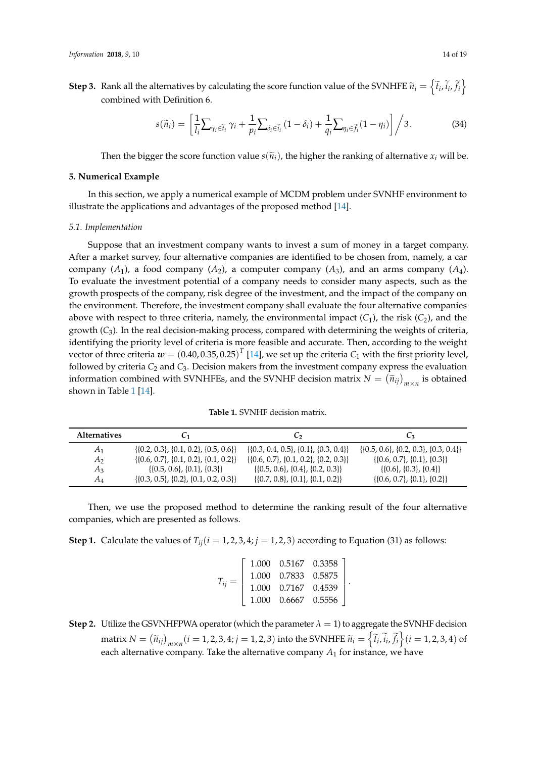**Step 3.** Rank all the alternatives by calculating the score function value of the SVNHFE  $\widetilde{n}_i = \left\{ \widetilde{t}_i, \widetilde{i}_i, \widetilde{f}_i \right\}$ combined with Definition 6.

$$
s(\widetilde{n}_i) = \left[ \frac{1}{l_i} \sum_{\gamma_i \in \widetilde{t}_i} \gamma_i + \frac{1}{p_i} \sum_{\delta_i \in \widetilde{t}_i} (1 - \delta_i) + \frac{1}{q_i} \sum_{\eta_i \in \widetilde{f}_i} (1 - \eta_i) \right] / 3. \tag{34}
$$

Then the bigger the score function value  $s(\tilde{n}_i)$ , the higher the ranking of alternative  $x_i$  will be.

## <span id="page-13-0"></span>**5. Numerical Example**

In this section, we apply a numerical example of MCDM problem under SVNHF environment to illustrate the applications and advantages of the proposed method [\[14\]](#page-18-7).

#### *5.1. Implementation*

Suppose that an investment company wants to invest a sum of money in a target company. After a market survey, four alternative companies are identified to be chosen from, namely, a car company  $(A_1)$ , a food company  $(A_2)$ , a computer company  $(A_3)$ , and an arms company  $(A_4)$ . To evaluate the investment potential of a company needs to consider many aspects, such as the growth prospects of the company, risk degree of the investment, and the impact of the company on the environment. Therefore, the investment company shall evaluate the four alternative companies above with respect to three criteria, namely, the environmental impact  $(C_1)$ , the risk  $(C_2)$ , and the growth (*C*3). In the real decision-making process, compared with determining the weights of criteria, identifying the priority level of criteria is more feasible and accurate. Then, according to the weight vector of three criteria  $w = {(0.40, 0.35, 0.25)}^T$  [\[14\]](#page-18-7), we set up the criteria  $\mathcal{C}_1$  with the first priority level, followed by criteria  $C_2$  and  $C_3$ . Decision makers from the investment company express the evaluation information combined with SVNHFEs, and the SVNHF decision matrix  $N = (\tilde{n}_{ij})_{m \times n}$  is obtained shown in Table [1](#page-13-1) [\[14\]](#page-18-7).

<span id="page-13-1"></span>

| <b>Alternatives</b> | Ü1                                            | しっ                                               | $C_3$                                    |
|---------------------|-----------------------------------------------|--------------------------------------------------|------------------------------------------|
| A <sub>1</sub>      | $\{0.2, 0.3\}, \{0.1, 0.2\}, \{0.5, 0.6\}\$   | $\{ \{0.3, 0.4, 0.5\}, \{0.1\}, \{0.3, 0.4\} \}$ | $\{[0.5, 0.6], [0.2, 0.3], [0.3, 0.4]\}$ |
| A <sub>2</sub>      | $\{0.6, 0.7\}, \{0.1, 0.2\}, \{0.1, 0.2\}\$   | $\{0.6, 0.7\}, \{0.1, 0.2\}, \{0.2, 0.3\}\$      | $\{ \{0.6, 0.7\}, \{0.1\}, \{0.3\} \}$   |
| $A_3$               | $\{0.5, 0.6\}, \{0.1\}, \{0.3\}\}\$           | $\{0.5, 0.6\}, \{0.4\}, \{0.2, 0.3\}\}\$         | $\{0.6\}, \{0.3\}, \{0.4\}\}\$           |
| $A_4$               | $\{0.3, 0.5\}, \{0.2\}, \{0.1, 0.2, 0.3\}\}\$ | $\{0.7, 0.8\}, \{0.1\}, \{0.1, 0.2\}\}\$         | $\{0.6, 0.7\}, \{0.1\}, \{0.2\}\$        |

Then, we use the proposed method to determine the ranking result of the four alternative companies, which are presented as follows.

**Step 1.** Calculate the values of  $T_{ij}$  ( $i = 1, 2, 3, 4; j = 1, 2, 3$ ) according to Equation (31) as follows:

|            |                       | 1.000  0.5167  0.3358 |  |
|------------|-----------------------|-----------------------|--|
|            |                       | $1.000$ 0.7833 0.5875 |  |
| $T_{ii} =$ | $1.000$ 0.7167 0.4539 |                       |  |
|            | 1.000  0.6667  0.5556 |                       |  |

**Step 2.** Utilize the GSVNHFPWA operator (which the parameter  $\lambda = 1$ ) to aggregate the SVNHF decision matrix  $N = (\tilde{n}_{ij})_{m \times n} (i = 1, 2, 3, 4; j = 1, 2, 3)$  into the SVNHFE  $\tilde{n}_i = \left\{ \tilde{t}_i, \tilde{i}_i, \tilde{f}_i \right\} (i = 1, 2, 3, 4)$  of each alternative company. Take the alternative company *A*<sup>1</sup> for instance, we have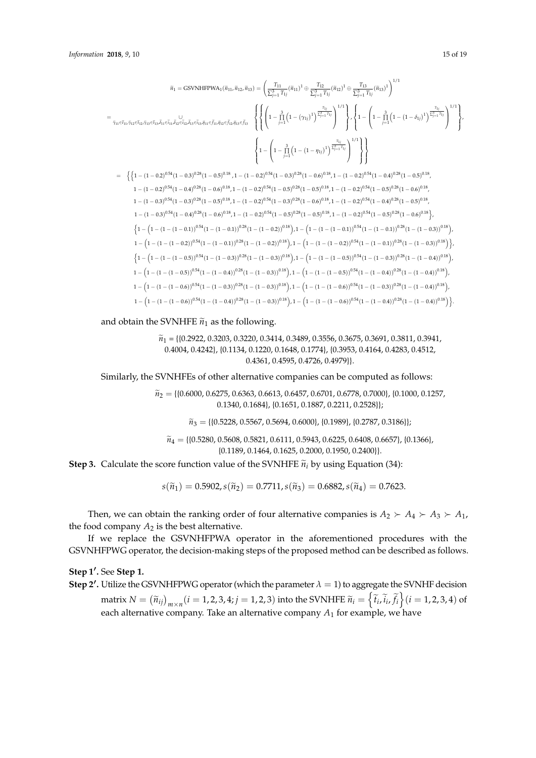$$
\tilde{n}_1 = \text{GSVMHFPWA}_1(\tilde{n}_{11}, \tilde{n}_{12}, \tilde{n}_{13}) = \left(\frac{T_{11}}{\sum_{j=1}^3 T_{1j}} (\tilde{n}_{11})^1 \oplus \frac{T_{12}}{\sum_{j=1}^3 T_{1j}} (\tilde{n}_{12})^1 \oplus \frac{T_{13}}{\sum_{j=1}^3 T_{1j}} (\tilde{n}_{13})^1\right)^{1/1}
$$
\n
$$
= \frac{T_{11}}{\tilde{r}_{11} \tilde{r}_{12} \tilde{r}_{13} \tilde{r}_{13} \tilde{r}_{14} \tilde{r}_{14} \tilde{r}_{15} \tilde{r}_{15} \tilde{r}_{15} \tilde{r}_{15} \tilde{r}_{15} \tilde{r}_{15} \tilde{r}_{15} \tilde{r}_{15} \tilde{r}_{15} \tilde{r}_{15} \tilde{r}_{15} \tilde{r}_{15} \tilde{r}_{15} \tilde{r}_{15} \tilde{r}_{15} \tilde{r}_{15} \tilde{r}_{15} \tilde{r}_{15} \tilde{r}_{15} \tilde{r}_{15} \tilde{r}_{15} \tilde{r}_{15} \tilde{r}_{15} \tilde{r}_{15} \tilde{r}_{15} \tilde{r}_{15} \tilde{r}_{15} \tilde{r}_{15} \tilde{r}_{15} \tilde{r}_{15} \tilde{r}_{15} \tilde{r}_{15} \tilde{r}_{15} \tilde{r}_{15} \tilde{r}_{15} \tilde{r}_{15} \tilde{r}_{15} \tilde{r}_{15} \tilde{r}_{15} \tilde{r}_{15} \tilde{r}_{15} \tilde{r}_{15} \tilde{r}_{15} \tilde{r}_{15} \tilde{r}_{15} \tilde{r}_{15} \tilde{r}_{15} \tilde{r}_{15} \tilde{r}_{15} \tilde{r}_{15} \tilde{r}_{15} \tilde{r}_{15} \tilde{r}_{15} \tilde{r}_{15} \tilde{r}_{15} \tilde{r}_{15} \tilde{r}_{15} \tilde{r}_{15} \tilde{r}_{15} \tilde{r}_{1
$$

and obtain the SVNHFE  $\widetilde{n}_1$  as the following.

$$
\widetilde{n}_1 = \{0.2922, 0.3203, 0.3220, 0.3414, 0.3489, 0.3556, 0.3675, 0.3691, 0.3811, 0.3941, 0.4004, 0.4242\}, \{0.1134, 0.1220, 0.1648, 0.1774\}, \{0.3953, 0.4164, 0.4283, 0.4512, 0.4361, 0.4595, 0.4726, 0.4979\}\}.
$$

Similarly, the SVNHFEs of other alternative companies can be computed as follows:

 $\widetilde{n}_2 = \{ \{0.6000, 0.6275, 0.6363, 0.6613, 0.6457, 0.6701, 0.6778, 0.7000 \}, \{0.1000, 0.1257, 0.6613, 0.6613, 0.6457, 0.6701, 0.6778, 0.7000 \}$ 0.1340, 0.1684}, {0.1651, 0.1887, 0.2211, 0.2528}};

 $\widetilde{n}_3 = \{ \{0.5228, 0.5567, 0.5694, 0.6000\}, \{0.1989\}, \{0.2787, 0.3186\} \};$ 

 $\widetilde{n}_4 = \{ \{0.5280, 0.5608, 0.5821, 0.6111, 0.5943, 0.6225, 0.6408, 0.6657 \}, \{0.1366\},\}$ {0.1189, 0.1464, 0.1625, 0.2000, 0.1950, 0.2400}}.

**Step 3.** Calculate the score function value of the SVNHFE  $\tilde{n}_i$  by using Equation (34):

$$
s(\widetilde{n}_1) = 0.5902, s(\widetilde{n}_2) = 0.7711, s(\widetilde{n}_3) = 0.6882, s(\widetilde{n}_4) = 0.7623.
$$

Then, we can obtain the ranking order of four alternative companies is  $A_2 \succ A_4 \succ A_3 \succ A_1$ , the food company  $A_2$  is the best alternative.

If we replace the GSVNHFPWA operator in the aforementioned procedures with the GSVNHFPWG operator, the decision-making steps of the proposed method can be described as follows.

# Step 1'. See Step 1.

**Step 2'.** Utilize the GSVNHFPWG operator (which the parameter  $\lambda = 1$ ) to aggregate the SVNHF decision  $\text{matrix } N = \left(\widetilde{n}_{ij}\right)_{m \times n} (i = 1, 2, 3, 4; j = 1, 2, 3) \text{ into the SVMHFE } \widetilde{n}_i = \left\{\widetilde{t}_i, \widetilde{i}_i, \widetilde{f}_i\right\} (i = 1, 2, 3, 4) \text{ of } \widetilde{n}_i$ each alternative company. Take an alternative company *A*<sup>1</sup> for example, we have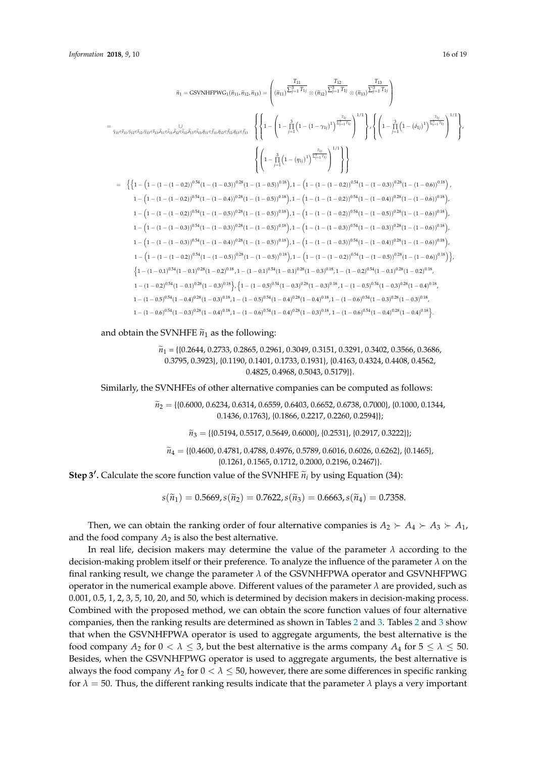$$
\tilde{n}_1 = \text{GSVNHFPWG}_1(\tilde{n}_{11}, \tilde{n}_{12}, \tilde{n}_{13}) = \left( (\tilde{n}_{11}) \frac{\overline{\Gamma_3}}{\overline{\Gamma_3} + \overline{\Gamma_4}} \otimes (\tilde{n}_{12}) \frac{\overline{\Gamma_3}}{\overline{\Gamma_2} - \overline{\Gamma_4}} \right) \otimes (\tilde{n}_{13}) \frac{\overline{\Gamma_3}}{\overline{\Gamma_2} - \overline{\Gamma_4}} \right)
$$
\n
$$
= \frac{1}{\tilde{\gamma}_{11} \in \tilde{t}_{11}, \tilde{\gamma}_{12} \in \tilde{t}_{12}, \tilde{\beta}_{11} \in \tilde{t}_{11}, \tilde{\beta}_{12} \in \tilde{t}_{13}, \tilde{\beta}_{11} \in \tilde{\beta}_{11}, \tilde{\beta}_{12} \in \tilde{\beta}_{12}, \tilde{\beta}_{13} \in \tilde{\beta}_{13}} \right\} \cdot \left\{ \left\{ 1 - \left( 1 - \frac{3}{11} \left( 1 - (n - \gamma_1)^1 \right)^{\frac{\overline{\Gamma_3}}{\overline{\Gamma_3} - \overline{\Gamma_4}} \right)^{1/1} \right\} \cdot \left\{ \left( 1 - \frac{3}{11} \left( 1 - (\delta_{11})^1 \right)^{\frac{\overline{\Gamma_4}}{\overline{\Gamma_2} - \overline{\Gamma_4}} \right)^{1/1} \right\} \cdot \left\{ \left( 1 - \frac{3}{11} \left( 1 - (n - (\delta_{11})^1 \right)^{\frac{\overline{\Gamma_4}}{\overline{\Gamma_4} - \overline{\Gamma_4}} \right)^{1/1} \right\} \cdot \left\{ \left( 1 - \frac{3}{11} \left( 1 - (n - (\delta_{12}))^{0.84} \right) \cdot \left( 1 - (1 - (1 - 0.2))^{0.84} \right) \cdot \left( 1 - (1 - 0.2))^{0.84} \right) \cdot \left( 1 - (1 - (1 - 0.2))^{0.84} \right) \cdot \left( 1 - (1 - (1 - 0.2))^{0.84} \right) \cdot \left( 1 - (1 - (1 - 0.2))^{0.84} \right) \cdot \left( 1 - (1 - (1 - 0.2))
$$

and obtain the SVNHFE  $\tilde{n}_1$  as the following:

$$
\widetilde{n}_1 = \{ \{0.2644, 0.2733, 0.2865, 0.2961, 0.3049, 0.3151, 0.3291, 0.3402, 0.3566, 0.3686, 0.3795, 0.3923 \}, \{0.1190, 0.1401, 0.1733, 0.1931 \}, \{0.4163, 0.4324, 0.4408, 0.4562, 0.4825, 0.4968, 0.5043, 0.5179 \} \}.
$$

Similarly, the SVNHFEs of other alternative companies can be computed as follows:

 $\widetilde{n}_2 = \{ \{0.6000, 0.6234, 0.6314, 0.6559, 0.6403, 0.6652, 0.6738, 0.7000 \}, \{0.1000, 0.1344,$ 0.1436, 0.1763}, {0.1866, 0.2217, 0.2260, 0.2594}};

 $\widetilde{n}_3 = \{ \{0.5194, 0.5517, 0.5649, 0.6000\}, \{0.2531\}, \{0.2917, 0.3222\} \}$ 

 $\widetilde{n}_4 = \{ \{0.4600, 0.4781, 0.4788, 0.4976, 0.5789, 0.6016, 0.6026, 0.6262 \}, \{0.1465\},\}$ {0.1261, 0.1565, 0.1712, 0.2000, 0.2196, 0.2467}}.

**Step 3'.** Calculate the score function value of the SVNHFE  $\tilde{n}_i$  by using Equation (34):

 $s(\tilde{n}_1) = 0.5669, s(\tilde{n}_2) = 0.7622, s(\tilde{n}_3) = 0.6663, s(\tilde{n}_4) = 0.7358.$ 

Then, we can obtain the ranking order of four alternative companies is  $A_2 \succ A_4 \succ A_3 \succ A_1$ , and the food company  $A_2$  is also the best alternative.

In real life, decision makers may determine the value of the parameter *λ* according to the decision-making problem itself or their preference. To analyze the influence of the parameter *λ* on the final ranking result, we change the parameter *λ* of the GSVNHFPWA operator and GSVNHFPWG operator in the numerical example above. Different values of the parameter  $\lambda$  are provided, such as 0.001, 0.5, 1, 2, 3, 5, 10, 20, and 50, which is determined by decision makers in decision-making process. Combined with the proposed method, we can obtain the score function values of four alternative companies, then the ranking results are determined as shown in Tables [2](#page-16-0) and [3.](#page-16-1) Tables [2](#page-16-0) and [3](#page-16-1) show that when the GSVNHFPWA operator is used to aggregate arguments, the best alternative is the food company  $A_2$  for  $0 < \lambda \leq 3$ , but the best alternative is the arms company  $A_4$  for  $5 \leq \lambda \leq 50$ . Besides, when the GSVNHFPWG operator is used to aggregate arguments, the best alternative is always the food company  $A_2$  for  $0 < \lambda \leq 50$ , however, there are some differences in specific ranking for  $\lambda = 50$ . Thus, the different ranking results indicate that the parameter  $\lambda$  plays a very important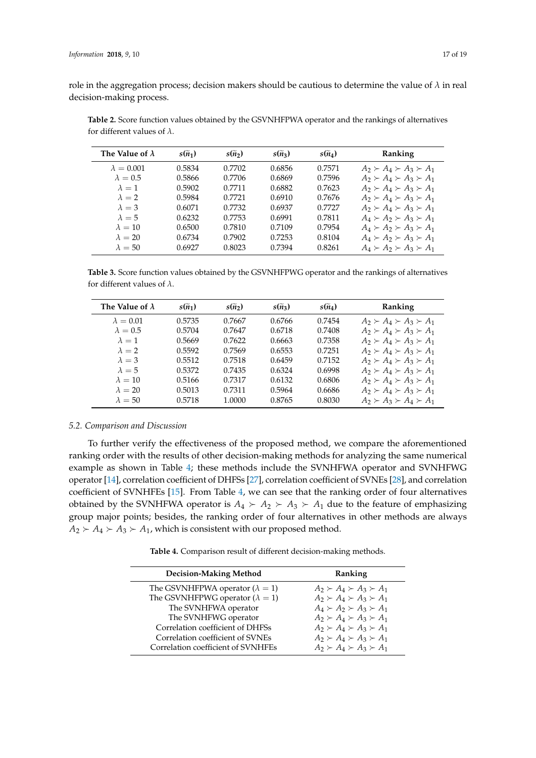role in the aggregation process; decision makers should be cautious to determine the value of *λ* in real decision-making process.

| The Value of $\lambda$ | $s(\widetilde{n}_1)$ | $s(\widetilde{n}_2)$ | $s(\widetilde{n}_3)$ | $s(\widetilde{n}_4)$ | Ranking                             |
|------------------------|----------------------|----------------------|----------------------|----------------------|-------------------------------------|
| $\lambda = 0.001$      | 0.5834               | 0.7702               | 0.6856               | 0.7571               | $A_2 \succ A_4 \succ A_3 \succ A_1$ |
| $\lambda = 0.5$        | 0.5866               | 0.7706               | 0.6869               | 0.7596               | $A_2 \succ A_4 \succ A_3 \succ A_1$ |
| $\lambda = 1$          | 0.5902               | 0.7711               | 0.6882               | 0.7623               | $A_2 \succ A_4 \succ A_3 \succ A_1$ |
| $\lambda = 2$          | 0.5984               | 0.7721               | 0.6910               | 0.7676               | $A_2 \succ A_4 \succ A_3 \succ A_1$ |
| $\lambda = 3$          | 0.6071               | 0.7732               | 0.6937               | 0.7727               | $A_2 \succ A_4 \succ A_3 \succ A_1$ |
| $\lambda = 5$          | 0.6232               | 0.7753               | 0.6991               | 0.7811               | $A_4 \succ A_2 \succ A_3 \succ A_1$ |
| $\lambda = 10$         | 0.6500               | 0.7810               | 0.7109               | 0.7954               | $A_4 \succ A_2 \succ A_3 \succ A_1$ |
| $\lambda = 20$         | 0.6734               | 0.7902               | 0.7253               | 0.8104               | $A_4 \succ A_2 \succ A_3 \succ A_1$ |
| $\lambda = 50$         | 0.6927               | 0.8023               | 0.7394               | 0.8261               | $A_4 \succ A_2 \succ A_3 \succ A_1$ |

<span id="page-16-0"></span>**Table 2.** Score function values obtained by the GSVNHFPWA operator and the rankings of alternatives for different values of *λ*.

<span id="page-16-1"></span>**Table 3.** Score function values obtained by the GSVNHFPWG operator and the rankings of alternatives for different values of *λ*.

| The Value of $\lambda$ | $s(\widetilde{n}_1)$ | $s(\widetilde{n}_2)$ | $s(\widetilde{n}_3)$ | $s(\widetilde{n}_4)$ | Ranking                             |
|------------------------|----------------------|----------------------|----------------------|----------------------|-------------------------------------|
| $\lambda = 0.01$       | 0.5735               | 0.7667               | 0.6766               | 0.7454               | $A_2 \succ A_4 \succ A_3 \succ A_1$ |
| $\lambda = 0.5$        | 0.5704               | 0.7647               | 0.6718               | 0.7408               | $A_2 \succ A_4 \succ A_3 \succ A_1$ |
| $\lambda = 1$          | 0.5669               | 0.7622               | 0.6663               | 0.7358               | $A_2 \succ A_4 \succ A_3 \succ A_1$ |
| $\lambda = 2$          | 0.5592               | 0.7569               | 0.6553               | 0.7251               | $A_2 \succ A_4 \succ A_3 \succ A_1$ |
| $\lambda = 3$          | 0.5512               | 0.7518               | 0.6459               | 0.7152               | $A_2 \succ A_4 \succ A_3 \succ A_1$ |
| $\lambda = 5$          | 0.5372               | 0.7435               | 0.6324               | 0.6998               | $A_2 \succ A_4 \succ A_3 \succ A_1$ |
| $\lambda = 10$         | 0.5166               | 0.7317               | 0.6132               | 0.6806               | $A_2 \succ A_4 \succ A_3 \succ A_1$ |
| $\lambda = 20$         | 0.5013               | 0.7311               | 0.5964               | 0.6686               | $A_2 \succ A_4 \succ A_3 \succ A_1$ |
| $\lambda = 50$         | 0.5718               | 1.0000               | 0.8765               | 0.8030               | $A_2 \succ A_3 \succ A_4 \succ A_1$ |

#### *5.2. Comparison and Discussion*

To further verify the effectiveness of the proposed method, we compare the aforementioned ranking order with the results of other decision-making methods for analyzing the same numerical example as shown in Table [4;](#page-16-2) these methods include the SVNHFWA operator and SVNHFWG operator [\[14\]](#page-18-7), correlation coefficient of DHFSs [\[27\]](#page-18-20), correlation coefficient of SVNEs [\[28\]](#page-18-21), and correlation coefficient of SVNHFEs [\[15\]](#page-18-8). From Table [4,](#page-16-2) we can see that the ranking order of four alternatives obtained by the SVNHFWA operator is  $A_4 \succ A_2 \succ A_3 \succ A_1$  due to the feature of emphasizing group major points; besides, the ranking order of four alternatives in other methods are always  $A_2 \rightarrow A_4 \rightarrow A_3 \rightarrow A_1$ , which is consistent with our proposed method.

**Table 4.** Comparison result of different decision-making methods.

<span id="page-16-2"></span>

| <b>Decision-Making Method</b>            | Ranking                             |
|------------------------------------------|-------------------------------------|
| The GSVNHFPWA operator ( $\lambda = 1$ ) | $A_2 \succ A_4 \succ A_3 \succ A_1$ |
| The GSVNHFPWG operator ( $\lambda = 1$ ) | $A_2 \succ A_4 \succ A_3 \succ A_1$ |
| The SVNHFWA operator                     | $A_4 \succ A_2 \succ A_3 \succ A_1$ |
| The SVNHFWG operator                     | $A_2 \succ A_4 \succ A_3 \succ A_1$ |
| Correlation coefficient of DHFSs         | $A_2 \succ A_4 \succ A_3 \succ A_1$ |
| Correlation coefficient of SVNEs         | $A_2 \succ A_4 \succ A_3 \succ A_1$ |
| Correlation coefficient of SVNHFEs       | $A_2 \succ A_4 \succ A_3 \succ A_1$ |
|                                          |                                     |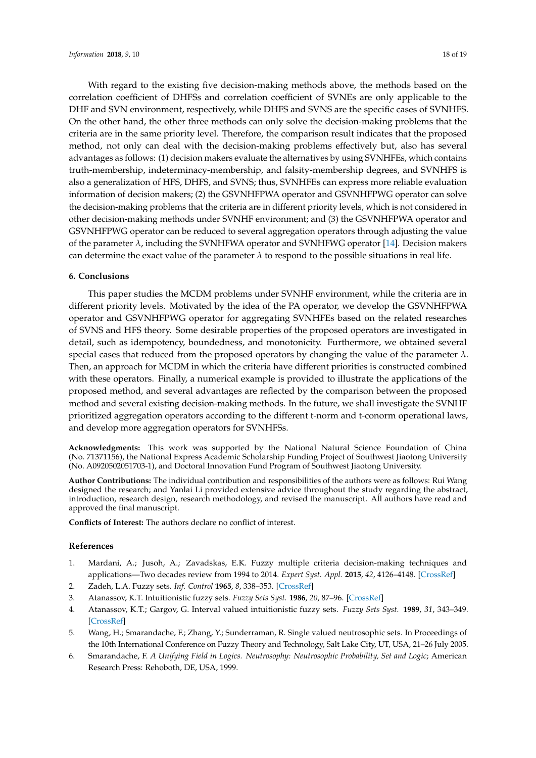With regard to the existing five decision-making methods above, the methods based on the correlation coefficient of DHFSs and correlation coefficient of SVNEs are only applicable to the DHF and SVN environment, respectively, while DHFS and SVNS are the specific cases of SVNHFS. On the other hand, the other three methods can only solve the decision-making problems that the criteria are in the same priority level. Therefore, the comparison result indicates that the proposed method, not only can deal with the decision-making problems effectively but, also has several advantages as follows: (1) decision makers evaluate the alternatives by using SVNHFEs, which contains truth-membership, indeterminacy-membership, and falsity-membership degrees, and SVNHFS is also a generalization of HFS, DHFS, and SVNS; thus, SVNHFEs can express more reliable evaluation information of decision makers; (2) the GSVNHFPWA operator and GSVNHFPWG operator can solve the decision-making problems that the criteria are in different priority levels, which is not considered in other decision-making methods under SVNHF environment; and (3) the GSVNHFPWA operator and GSVNHFPWG operator can be reduced to several aggregation operators through adjusting the value of the parameter  $\lambda$ , including the SVNHFWA operator and SVNHFWG operator [\[14\]](#page-18-7). Decision makers can determine the exact value of the parameter  $\lambda$  to respond to the possible situations in real life.

#### <span id="page-17-6"></span>**6. Conclusions**

This paper studies the MCDM problems under SVNHF environment, while the criteria are in different priority levels. Motivated by the idea of the PA operator, we develop the GSVNHFPWA operator and GSVNHFPWG operator for aggregating SVNHFEs based on the related researches of SVNS and HFS theory. Some desirable properties of the proposed operators are investigated in detail, such as idempotency, boundedness, and monotonicity. Furthermore, we obtained several special cases that reduced from the proposed operators by changing the value of the parameter  $\lambda$ . Then, an approach for MCDM in which the criteria have different priorities is constructed combined with these operators. Finally, a numerical example is provided to illustrate the applications of the proposed method, and several advantages are reflected by the comparison between the proposed method and several existing decision-making methods. In the future, we shall investigate the SVNHF prioritized aggregation operators according to the different t-norm and t-conorm operational laws, and develop more aggregation operators for SVNHFSs.

**Acknowledgments:** This work was supported by the National Natural Science Foundation of China (No. 71371156), the National Express Academic Scholarship Funding Project of Southwest Jiaotong University (No. A0920502051703-1), and Doctoral Innovation Fund Program of Southwest Jiaotong University.

**Author Contributions:** The individual contribution and responsibilities of the authors were as follows: Rui Wang designed the research; and Yanlai Li provided extensive advice throughout the study regarding the abstract, introduction, research design, research methodology, and revised the manuscript. All authors have read and approved the final manuscript.

**Conflicts of Interest:** The authors declare no conflict of interest.

#### **References**

- <span id="page-17-0"></span>1. Mardani, A.; Jusoh, A.; Zavadskas, E.K. Fuzzy multiple criteria decision-making techniques and applications—Two decades review from 1994 to 2014. *Expert Syst. Appl.* **2015**, *42*, 4126–4148. [\[CrossRef\]](http://dx.doi.org/10.1016/j.eswa.2015.01.003)
- <span id="page-17-1"></span>2. Zadeh, L.A. Fuzzy sets. *Inf. Control* **1965**, *8*, 338–353. [\[CrossRef\]](http://dx.doi.org/10.1016/S0019-9958(65)90241-X)
- <span id="page-17-2"></span>3. Atanassov, K.T. Intuitionistic fuzzy sets. *Fuzzy Sets Syst.* **1986**, *20*, 87–96. [\[CrossRef\]](http://dx.doi.org/10.1016/S0165-0114(86)80034-3)
- <span id="page-17-3"></span>4. Atanassov, K.T.; Gargov, G. Interval valued intuitionistic fuzzy sets. *Fuzzy Sets Syst.* **1989**, *31*, 343–349. [\[CrossRef\]](http://dx.doi.org/10.1016/0165-0114(89)90205-4)
- <span id="page-17-4"></span>5. Wang, H.; Smarandache, F.; Zhang, Y.; Sunderraman, R. Single valued neutrosophic sets. In Proceedings of the 10th International Conference on Fuzzy Theory and Technology, Salt Lake City, UT, USA, 21–26 July 2005.
- <span id="page-17-5"></span>6. Smarandache, F. *A Unifying Field in Logics. Neutrosophy: Neutrosophic Probability, Set and Logic*; American Research Press: Rehoboth, DE, USA, 1999.